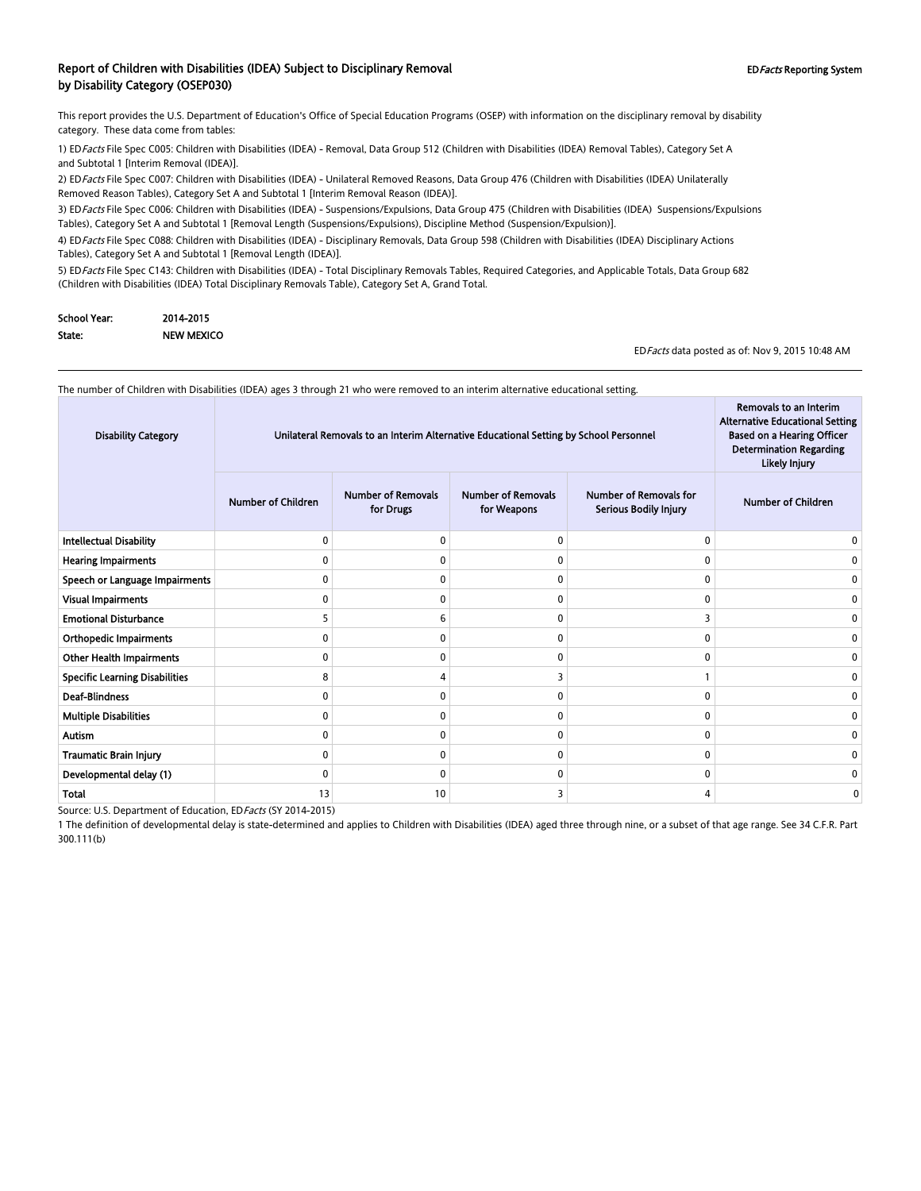#### Report of Children with Disabilities (IDEA) Subject to Disciplinary Removal **EDFacts Reporting System** EDFacts Reporting System by Disability Category (OSEP030)

This report provides the U.S. Department of Education's Office of Special Education Programs (OSEP) with information on the disciplinary removal by disability category. These data come from tables:

1) EDFacts File Spec C005: Children with Disabilities (IDEA) - Removal, Data Group 512 (Children with Disabilities (IDEA) Removal Tables), Category Set A and Subtotal 1 [Interim Removal (IDEA)].

2) EDFacts File Spec C007: Children with Disabilities (IDEA) - Unilateral Removed Reasons, Data Group 476 (Children with Disabilities (IDEA) Unilaterally Removed Reason Tables), Category Set A and Subtotal 1 [Interim Removal Reason (IDEA)].

3) ED Facts File Spec C006: Children with Disabilities (IDEA) - Suspensions/Expulsions, Data Group 475 (Children with Disabilities (IDEA) Suspensions/Expulsions Tables), Category Set A and Subtotal 1 [Removal Length (Suspensions/Expulsions), Discipline Method (Suspension/Expulsion)].

4) EDFacts File Spec C088: Children with Disabilities (IDEA) - Disciplinary Removals, Data Group 598 (Children with Disabilities (IDEA) Disciplinary Actions Tables), Category Set A and Subtotal 1 [Removal Length (IDEA)].

5) ED Facts File Spec C143: Children with Disabilities (IDEA) - Total Disciplinary Removals Tables, Required Categories, and Applicable Totals, Data Group 682 (Children with Disabilities (IDEA) Total Disciplinary Removals Table), Category Set A, Grand Total.

| School Year: | 2014-2015  |
|--------------|------------|
| State:       | NEW MEXICO |

EDFacts data posted as of: Nov 9, 2015 10:48 AM

Removals to an Interim

 $\sim$ 

The number of Children with Disabilities (IDEA) ages 3 through 21 who were removed to an interim alternative educational setting.

| <b>Disability Category</b>            | Unilateral Removals to an Interim Alternative Educational Setting by School Personnel |                                        |                                          |                                                        | Removals to an Interim<br><b>Alternative Educational Setting</b><br><b>Based on a Hearing Officer</b><br><b>Determination Regarding</b><br>Likely Injury |
|---------------------------------------|---------------------------------------------------------------------------------------|----------------------------------------|------------------------------------------|--------------------------------------------------------|----------------------------------------------------------------------------------------------------------------------------------------------------------|
|                                       | <b>Number of Children</b>                                                             | <b>Number of Removals</b><br>for Drugs | <b>Number of Removals</b><br>for Weapons | <b>Number of Removals for</b><br>Serious Bodily Injury | <b>Number of Children</b>                                                                                                                                |
| <b>Intellectual Disability</b>        | 0                                                                                     | n                                      | $\Omega$                                 | 0                                                      |                                                                                                                                                          |
| <b>Hearing Impairments</b>            | ŋ                                                                                     |                                        | C                                        | $\mathbf{0}$                                           |                                                                                                                                                          |
| Speech or Language Impairments        | 0                                                                                     | $\Omega$                               | $\Omega$                                 | $\mathbf{0}$                                           |                                                                                                                                                          |
| <b>Visual Impairments</b>             | 0                                                                                     | $\Omega$                               | $\Omega$                                 | 0                                                      | 0                                                                                                                                                        |
| <b>Emotional Disturbance</b>          | 5                                                                                     |                                        | $\Omega$                                 | 3                                                      |                                                                                                                                                          |
| <b>Orthopedic Impairments</b>         | 0                                                                                     |                                        | $\Omega$                                 | 0                                                      | ŋ                                                                                                                                                        |
| <b>Other Health Impairments</b>       | 0                                                                                     | n                                      | $\Omega$                                 | 0                                                      |                                                                                                                                                          |
| <b>Specific Learning Disabilities</b> | 8                                                                                     |                                        |                                          |                                                        | $\Omega$                                                                                                                                                 |
| <b>Deaf-Blindness</b>                 | 0                                                                                     | n                                      | $\Omega$                                 | 0                                                      |                                                                                                                                                          |
| <b>Multiple Disabilities</b>          | 0                                                                                     | O                                      | $\Omega$                                 | 0                                                      |                                                                                                                                                          |
| <b>Autism</b>                         | 0                                                                                     | $\Omega$                               | $\Omega$                                 | 0                                                      | ŋ                                                                                                                                                        |
| Traumatic Brain Injury                | 0                                                                                     | n                                      | $\Omega$                                 | 0                                                      | O                                                                                                                                                        |
| Developmental delay (1)               | 0                                                                                     | $\Omega$                               | $\Omega$                                 | 0                                                      | O                                                                                                                                                        |
| Total                                 | 13                                                                                    | 10                                     |                                          | 4                                                      | 0                                                                                                                                                        |

Source: U.S. Department of Education, EDFacts (SY 2014-2015)

1 The definition of developmental delay is state-determined and applies to Children with Disabilities (IDEA) aged three through nine, or a subset of that age range. See 34 C.F.R. Part 300.111(b)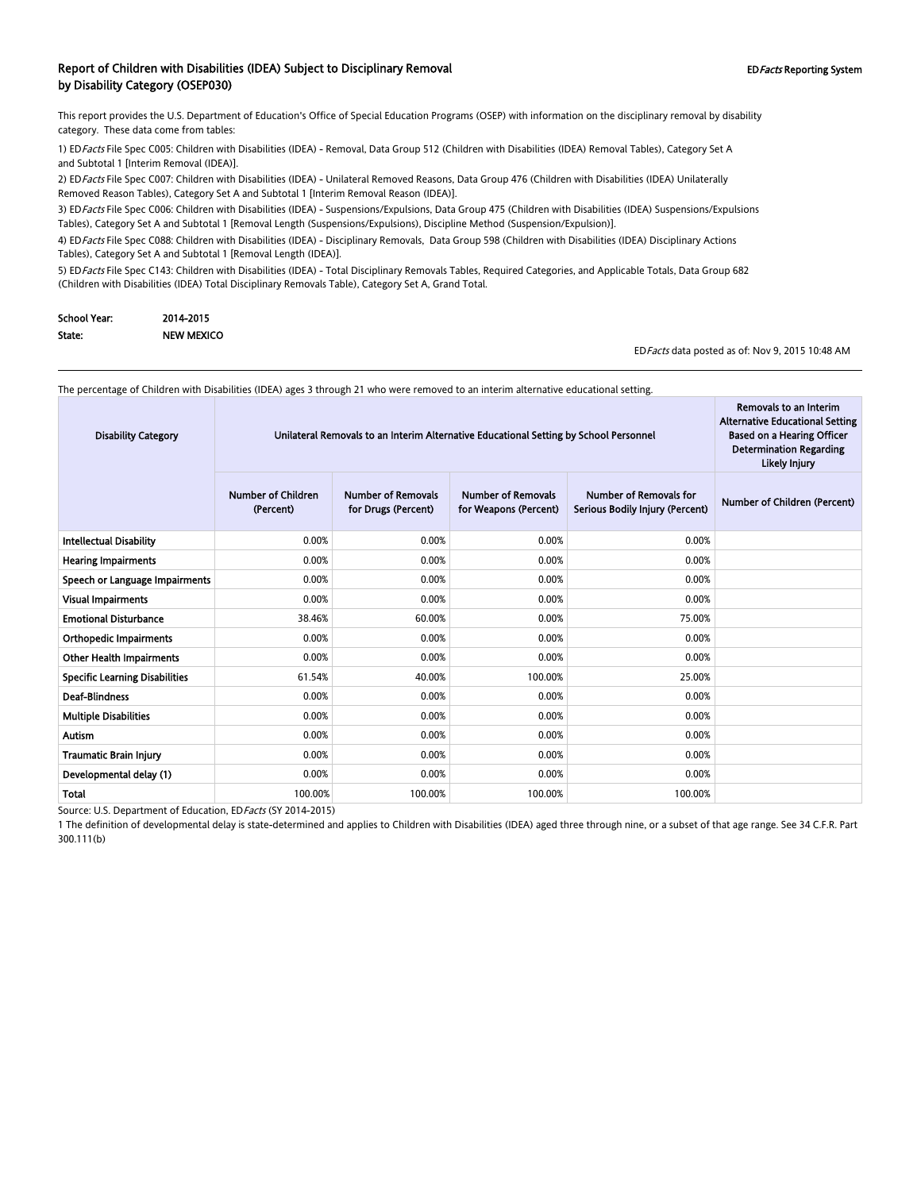#### Report of Children with Disabilities (IDEA) Subject to Disciplinary Removal **EDFacts Reporting System** EDFacts Reporting System by Disability Category (OSEP030)

This report provides the U.S. Department of Education's Office of Special Education Programs (OSEP) with information on the disciplinary removal by disability category. These data come from tables:

1) EDFacts File Spec C005: Children with Disabilities (IDEA) - Removal, Data Group 512 (Children with Disabilities (IDEA) Removal Tables), Category Set A and Subtotal 1 [Interim Removal (IDEA)].

2) EDFacts File Spec C007: Children with Disabilities (IDEA) - Unilateral Removed Reasons, Data Group 476 (Children with Disabilities (IDEA) Unilaterally Removed Reason Tables), Category Set A and Subtotal 1 [Interim Removal Reason (IDEA)].

3) ED Facts File Spec C006: Children with Disabilities (IDEA) - Suspensions/Expulsions, Data Group 475 (Children with Disabilities (IDEA) Suspensions/Expulsions Tables), Category Set A and Subtotal 1 [Removal Length (Suspensions/Expulsions), Discipline Method (Suspension/Expulsion)].

4) EDFacts File Spec C088: Children with Disabilities (IDEA) - Disciplinary Removals, Data Group 598 (Children with Disabilities (IDEA) Disciplinary Actions Tables), Category Set A and Subtotal 1 [Removal Length (IDEA)].

5) ED Facts File Spec C143: Children with Disabilities (IDEA) - Total Disciplinary Removals Tables, Required Categories, and Applicable Totals, Data Group 682 (Children with Disabilities (IDEA) Total Disciplinary Removals Table), Category Set A, Grand Total.

| School Year: | 2014-2015         |
|--------------|-------------------|
| State:       | <b>NEW MEXICO</b> |

EDFacts data posted as of: Nov 9, 2015 10:48 AM

Removals to an Interim

 $\sim$ 

The percentage of Children with Disabilities (IDEA) ages 3 through 21 who were removed to an interim alternative educational setting.

| <b>Disability Category</b>            | Unilateral Removals to an Interim Alternative Educational Setting by School Personnel | Removals to an Interim<br><b>Alternative Educational Setting</b><br><b>Based on a Hearing Officer</b><br><b>Determination Regarding</b><br>Likely Injury |                                                    |                                                                  |                              |
|---------------------------------------|---------------------------------------------------------------------------------------|----------------------------------------------------------------------------------------------------------------------------------------------------------|----------------------------------------------------|------------------------------------------------------------------|------------------------------|
|                                       | <b>Number of Children</b><br>(Percent)                                                | <b>Number of Removals</b><br>for Drugs (Percent)                                                                                                         | <b>Number of Removals</b><br>for Weapons (Percent) | <b>Number of Removals for</b><br>Serious Bodily Injury (Percent) | Number of Children (Percent) |
| <b>Intellectual Disability</b>        | 0.00%                                                                                 | 0.00%                                                                                                                                                    | 0.00%                                              | 0.00%                                                            |                              |
| <b>Hearing Impairments</b>            | 0.00%                                                                                 | 0.00%                                                                                                                                                    | 0.00%                                              | 0.00%                                                            |                              |
| Speech or Language Impairments        | 0.00%                                                                                 | 0.00%                                                                                                                                                    | 0.00%                                              | 0.00%                                                            |                              |
| Visual Impairments                    | 0.00%                                                                                 | 0.00%                                                                                                                                                    | 0.00%                                              | 0.00%                                                            |                              |
| <b>Emotional Disturbance</b>          | 38.46%                                                                                | 60.00%                                                                                                                                                   | 0.00%                                              | 75.00%                                                           |                              |
| <b>Orthopedic Impairments</b>         | 0.00%                                                                                 | 0.00%                                                                                                                                                    | 0.00%                                              | 0.00%                                                            |                              |
| <b>Other Health Impairments</b>       | 0.00%                                                                                 | 0.00%                                                                                                                                                    | 0.00%                                              | 0.00%                                                            |                              |
| <b>Specific Learning Disabilities</b> | 61.54%                                                                                | 40.00%                                                                                                                                                   | 100.00%                                            | 25.00%                                                           |                              |
| <b>Deaf-Blindness</b>                 | 0.00%                                                                                 | 0.00%                                                                                                                                                    | 0.00%                                              | 0.00%                                                            |                              |
| Multiple Disabilities                 | 0.00%                                                                                 | 0.00%                                                                                                                                                    | 0.00%                                              | 0.00%                                                            |                              |
| <b>Autism</b>                         | 0.00%                                                                                 | 0.00%                                                                                                                                                    | 0.00%                                              | 0.00%                                                            |                              |
| Traumatic Brain Injury                | 0.00%                                                                                 | 0.00%                                                                                                                                                    | 0.00%                                              | 0.00%                                                            |                              |
| Developmental delay (1)               | 0.00%                                                                                 | 0.00%                                                                                                                                                    | 0.00%                                              | 0.00%                                                            |                              |
| Total                                 | 100.00%                                                                               | 100.00%                                                                                                                                                  | 100.00%                                            | 100.00%                                                          |                              |

Source: U.S. Department of Education, EDFacts (SY 2014-2015)

1 The definition of developmental delay is state-determined and applies to Children with Disabilities (IDEA) aged three through nine, or a subset of that age range. See 34 C.F.R. Part 300.111(b)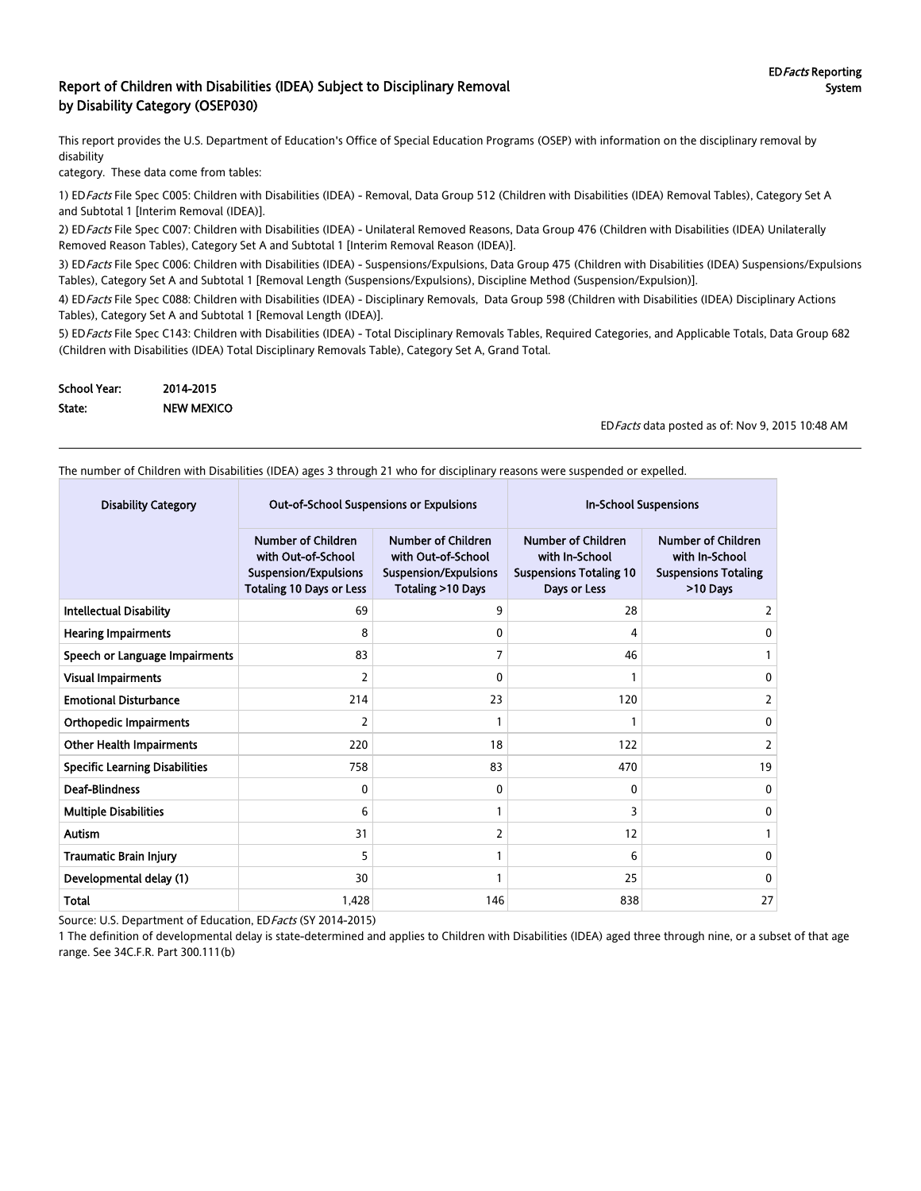#### Report of Children with Disabilities (IDEA) Subject to Disciplinary Removal by Disability Category (OSEP030)

This report provides the U.S. Department of Education's Office of Special Education Programs (OSEP) with information on the disciplinary removal by disability

category. These data come from tables:

1) EDFacts File Spec C005: Children with Disabilities (IDEA) - Removal, Data Group 512 (Children with Disabilities (IDEA) Removal Tables), Category Set A and Subtotal 1 [Interim Removal (IDEA)].

2) EDFacts File Spec C007: Children with Disabilities (IDEA) - Unilateral Removed Reasons, Data Group 476 (Children with Disabilities (IDEA) Unilaterally Removed Reason Tables), Category Set A and Subtotal 1 [Interim Removal Reason (IDEA)].

3) EDFacts File Spec C006: Children with Disabilities (IDEA) - Suspensions/Expulsions, Data Group 475 (Children with Disabilities (IDEA) Suspensions/Expulsions Tables), Category Set A and Subtotal 1 [Removal Length (Suspensions/Expulsions), Discipline Method (Suspension/Expulsion)].

4) EDFacts File Spec C088: Children with Disabilities (IDEA) - Disciplinary Removals, Data Group 598 (Children with Disabilities (IDEA) Disciplinary Actions Tables), Category Set A and Subtotal 1 [Removal Length (IDEA)].

5) ED Facts File Spec C143: Children with Disabilities (IDEA) - Total Disciplinary Removals Tables, Required Categories, and Applicable Totals, Data Group 682 (Children with Disabilities (IDEA) Total Disciplinary Removals Table), Category Set A, Grand Total.

| <b>School Year:</b> | 2014-2015         |
|---------------------|-------------------|
| State:              | <b>NEW MEXICO</b> |

EDFacts data posted as of: Nov 9, 2015 10:48 AM

The number of Children with Disabilities (IDEA) ages 3 through 21 who for disciplinary reasons were suspended or expelled.

| <b>Disability Category</b>            |                                                                                                             | <b>Out-of-School Suspensions or Expulsions</b>                                                       | <b>In-School Suspensions</b>                                                                  |                                                                                        |  |
|---------------------------------------|-------------------------------------------------------------------------------------------------------------|------------------------------------------------------------------------------------------------------|-----------------------------------------------------------------------------------------------|----------------------------------------------------------------------------------------|--|
|                                       | <b>Number of Children</b><br>with Out-of-School<br>Suspension/Expulsions<br><b>Totaling 10 Days or Less</b> | <b>Number of Children</b><br>with Out-of-School<br><b>Suspension/Expulsions</b><br>Totaling >10 Days | <b>Number of Children</b><br>with In-School<br><b>Suspensions Totaling 10</b><br>Days or Less | <b>Number of Children</b><br>with In-School<br><b>Suspensions Totaling</b><br>>10 Days |  |
| <b>Intellectual Disability</b>        | 69                                                                                                          | 9                                                                                                    | 28                                                                                            | 2                                                                                      |  |
| <b>Hearing Impairments</b>            | 8                                                                                                           | 0                                                                                                    | 4                                                                                             | 0                                                                                      |  |
| Speech or Language Impairments        | 83                                                                                                          | 7                                                                                                    | 46                                                                                            |                                                                                        |  |
| <b>Visual Impairments</b>             | 2                                                                                                           | 0                                                                                                    |                                                                                               | 0                                                                                      |  |
| <b>Emotional Disturbance</b>          | 214                                                                                                         | 23                                                                                                   | 120                                                                                           | 2                                                                                      |  |
| <b>Orthopedic Impairments</b>         | 2                                                                                                           |                                                                                                      |                                                                                               | 0                                                                                      |  |
| <b>Other Health Impairments</b>       | 220                                                                                                         | 18                                                                                                   | 122                                                                                           | 2                                                                                      |  |
| <b>Specific Learning Disabilities</b> | 758                                                                                                         | 83                                                                                                   | 470                                                                                           | 19                                                                                     |  |
| <b>Deaf-Blindness</b>                 | $\Omega$                                                                                                    | $\Omega$                                                                                             | $\Omega$                                                                                      | 0                                                                                      |  |
| <b>Multiple Disabilities</b>          | 6                                                                                                           |                                                                                                      | 3                                                                                             | $\Omega$                                                                               |  |
| <b>Autism</b>                         | 31                                                                                                          | 2                                                                                                    | 12                                                                                            |                                                                                        |  |
| <b>Traumatic Brain Injury</b>         | 5                                                                                                           |                                                                                                      | 6                                                                                             | 0                                                                                      |  |
| Developmental delay (1)               | 30                                                                                                          |                                                                                                      | 25                                                                                            | $\Omega$                                                                               |  |
| <b>Total</b>                          | 1,428                                                                                                       | 146                                                                                                  | 838                                                                                           | 27                                                                                     |  |

Source: U.S. Department of Education, ED Facts (SY 2014-2015)

1 The definition of developmental delay is state-determined and applies to Children with Disabilities (IDEA) aged three through nine, or a subset of that age range. See 34C.F.R. Part 300.111(b)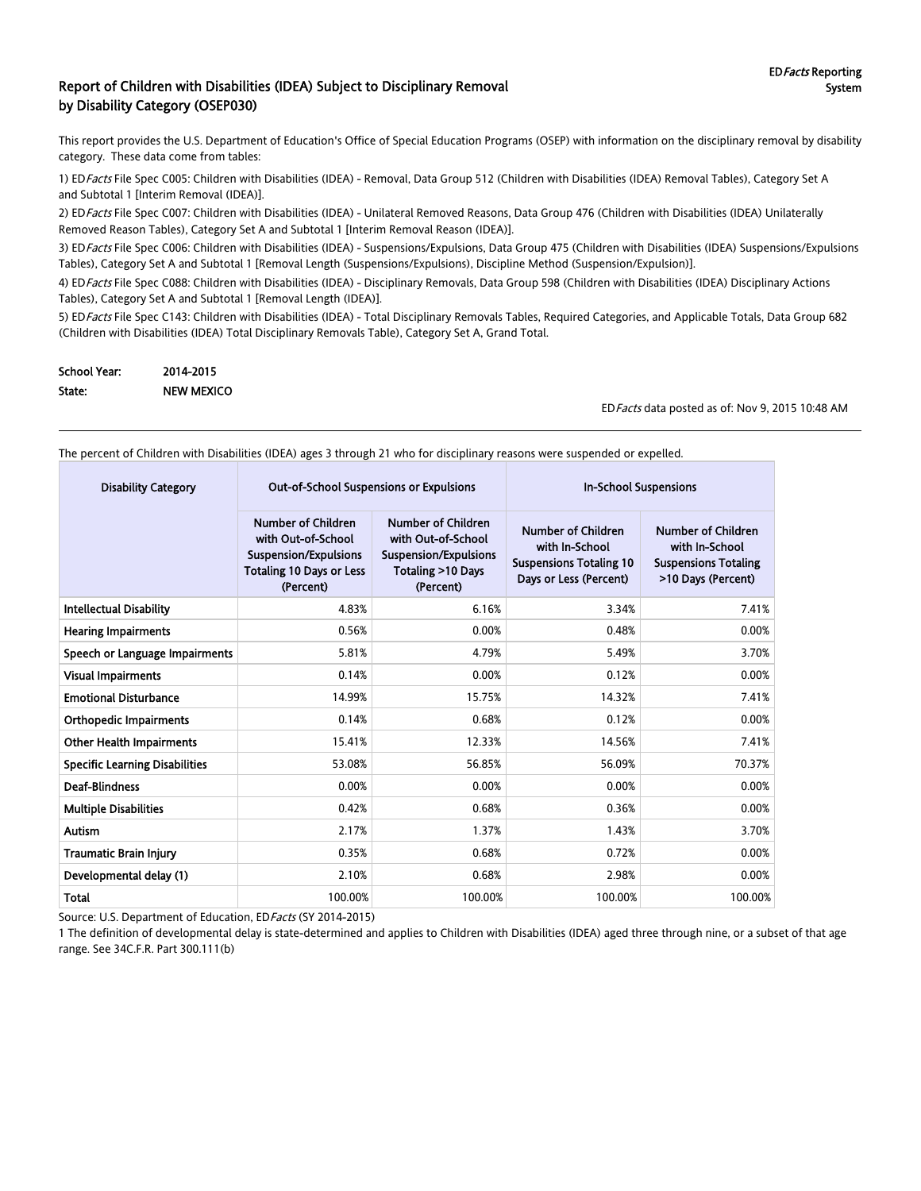#### Report of Children with Disabilities (IDEA) Subject to Disciplinary Removal by Disability Category (OSEP030)

This report provides the U.S. Department of Education's Office of Special Education Programs (OSEP) with information on the disciplinary removal by disability category. These data come from tables:

1) EDFacts File Spec C005: Children with Disabilities (IDEA) - Removal, Data Group 512 (Children with Disabilities (IDEA) Removal Tables), Category Set A and Subtotal 1 [Interim Removal (IDEA)].

2) ED Facts File Spec C007: Children with Disabilities (IDEA) - Unilateral Removed Reasons, Data Group 476 (Children with Disabilities (IDEA) Unilaterally Removed Reason Tables), Category Set A and Subtotal 1 [Interim Removal Reason (IDEA)].

3) ED Facts File Spec C006: Children with Disabilities (IDEA) - Suspensions/Expulsions, Data Group 475 (Children with Disabilities (IDEA) Suspensions/Expulsions Tables), Category Set A and Subtotal 1 [Removal Length (Suspensions/Expulsions), Discipline Method (Suspension/Expulsion)].

4) ED Facts File Spec C088: Children with Disabilities (IDEA) - Disciplinary Removals, Data Group 598 (Children with Disabilities (IDEA) Disciplinary Actions Tables), Category Set A and Subtotal 1 [Removal Length (IDEA)].

5) ED Facts File Spec C143: Children with Disabilities (IDEA) - Total Disciplinary Removals Tables, Required Categories, and Applicable Totals, Data Group 682 (Children with Disabilities (IDEA) Total Disciplinary Removals Table), Category Set A, Grand Total.

| School Year: | 2014-2015         |
|--------------|-------------------|
| State:       | <b>NEW MEXICO</b> |

EDFacts data posted as of: Nov 9, 2015 10:48 AM

The percent of Children with Disabilities (IDEA) ages 3 through 21 who for disciplinary reasons were suspended or expelled.

| <b>Disability Category</b>            |                                                                                                                   | <b>Out-of-School Suspensions or Expulsions</b>                                                             | <b>In-School Suspensions</b>                                                                            |                                                                                                  |  |
|---------------------------------------|-------------------------------------------------------------------------------------------------------------------|------------------------------------------------------------------------------------------------------------|---------------------------------------------------------------------------------------------------------|--------------------------------------------------------------------------------------------------|--|
|                                       | Number of Children<br>with Out-of-School<br>Suspension/Expulsions<br><b>Totaling 10 Days or Less</b><br>(Percent) | Number of Children<br>with Out-of-School<br><b>Suspension/Expulsions</b><br>Totaling >10 Days<br>(Percent) | <b>Number of Children</b><br>with In-School<br><b>Suspensions Totaling 10</b><br>Days or Less (Percent) | <b>Number of Children</b><br>with In-School<br><b>Suspensions Totaling</b><br>>10 Days (Percent) |  |
| <b>Intellectual Disability</b>        | 4.83%                                                                                                             | 6.16%                                                                                                      | 3.34%                                                                                                   | 7.41%                                                                                            |  |
| <b>Hearing Impairments</b>            | 0.56%                                                                                                             | 0.00%                                                                                                      | 0.48%                                                                                                   | 0.00%                                                                                            |  |
| Speech or Language Impairments        | 5.81%                                                                                                             | 4.79%                                                                                                      | 5.49%                                                                                                   | 3.70%                                                                                            |  |
| <b>Visual Impairments</b>             | 0.14%                                                                                                             | 0.00%                                                                                                      | 0.12%                                                                                                   | 0.00%                                                                                            |  |
| <b>Emotional Disturbance</b>          | 14.99%                                                                                                            | 15.75%                                                                                                     | 14.32%                                                                                                  | 7.41%                                                                                            |  |
| <b>Orthopedic Impairments</b>         | 0.14%                                                                                                             | 0.68%                                                                                                      | 0.12%                                                                                                   | 0.00%                                                                                            |  |
| <b>Other Health Impairments</b>       | 15.41%                                                                                                            | 12.33%                                                                                                     | 14.56%                                                                                                  | 7.41%                                                                                            |  |
| <b>Specific Learning Disabilities</b> | 53.08%                                                                                                            | 56.85%                                                                                                     | 56.09%                                                                                                  | 70.37%                                                                                           |  |
| <b>Deaf-Blindness</b>                 | 0.00%                                                                                                             | 0.00%                                                                                                      | 0.00%                                                                                                   | 0.00%                                                                                            |  |
| <b>Multiple Disabilities</b>          | 0.42%                                                                                                             | 0.68%                                                                                                      | 0.36%                                                                                                   | 0.00%                                                                                            |  |
| Autism                                | 2.17%                                                                                                             | 1.37%                                                                                                      | 1.43%                                                                                                   | 3.70%                                                                                            |  |
| <b>Traumatic Brain Injury</b>         | 0.35%                                                                                                             | 0.68%                                                                                                      | 0.72%                                                                                                   | 0.00%                                                                                            |  |
| Developmental delay (1)               | 2.10%                                                                                                             | 0.68%                                                                                                      | 2.98%                                                                                                   | 0.00%                                                                                            |  |
| Total                                 | 100.00%                                                                                                           | 100.00%                                                                                                    | 100.00%                                                                                                 | 100.00%                                                                                          |  |

Source: U.S. Department of Education, ED Facts (SY 2014-2015)

1 The definition of developmental delay is state-determined and applies to Children with Disabilities (IDEA) aged three through nine, or a subset of that age range. See 34C.F.R. Part 300.111(b)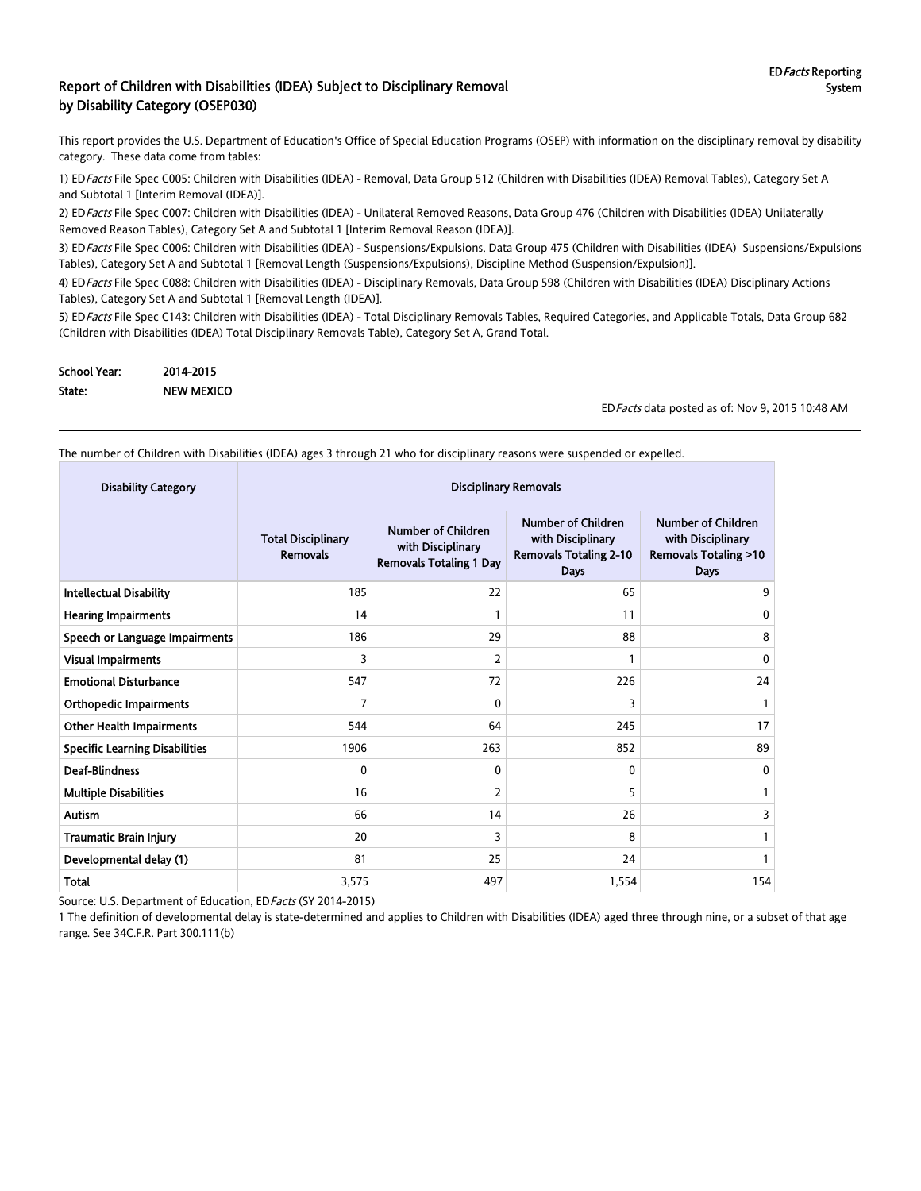#### Report of Children with Disabilities (IDEA) Subject to Disciplinary Removal by Disability Category (OSEP030)

This report provides the U.S. Department of Education's Office of Special Education Programs (OSEP) with information on the disciplinary removal by disability category. These data come from tables:

1) EDFacts File Spec C005: Children with Disabilities (IDEA) - Removal, Data Group 512 (Children with Disabilities (IDEA) Removal Tables), Category Set A and Subtotal 1 [Interim Removal (IDEA)].

2) ED Facts File Spec C007: Children with Disabilities (IDEA) - Unilateral Removed Reasons, Data Group 476 (Children with Disabilities (IDEA) Unilaterally Removed Reason Tables), Category Set A and Subtotal 1 [Interim Removal Reason (IDEA)].

3) ED Facts File Spec C006: Children with Disabilities (IDEA) - Suspensions/Expulsions, Data Group 475 (Children with Disabilities (IDEA) Suspensions/Expulsions Tables), Category Set A and Subtotal 1 [Removal Length (Suspensions/Expulsions), Discipline Method (Suspension/Expulsion)].

4) ED Facts File Spec C088: Children with Disabilities (IDEA) - Disciplinary Removals, Data Group 598 (Children with Disabilities (IDEA) Disciplinary Actions Tables), Category Set A and Subtotal 1 [Removal Length (IDEA)].

5) ED Facts File Spec C143: Children with Disabilities (IDEA) - Total Disciplinary Removals Tables, Required Categories, and Applicable Totals, Data Group 682 (Children with Disabilities (IDEA) Total Disciplinary Removals Table), Category Set A, Grand Total.

| School Year: | 2014-2015         |
|--------------|-------------------|
| State:       | <b>NEW MEXICO</b> |

EDFacts data posted as of: Nov 9, 2015 10:48 AM

The number of Children with Disabilities (IDEA) ages 3 through 21 who for disciplinary reasons were suspended or expelled.

| <b>Disability Category</b>            | <b>Disciplinary Removals</b>          |                                                                                  |                                                                                                |                                                                                                  |  |
|---------------------------------------|---------------------------------------|----------------------------------------------------------------------------------|------------------------------------------------------------------------------------------------|--------------------------------------------------------------------------------------------------|--|
|                                       | <b>Total Disciplinary</b><br>Removals | <b>Number of Children</b><br>with Disciplinary<br><b>Removals Totaling 1 Day</b> | <b>Number of Children</b><br>with Disciplinary<br><b>Removals Totaling 2-10</b><br><b>Days</b> | <b>Number of Children</b><br>with Disciplinary<br><b>Removals Totaling &gt;10</b><br><b>Days</b> |  |
| <b>Intellectual Disability</b>        | 185                                   | 22                                                                               | 65                                                                                             | 9                                                                                                |  |
| <b>Hearing Impairments</b>            | 14                                    |                                                                                  | 11                                                                                             | 0                                                                                                |  |
| Speech or Language Impairments        | 186                                   | 29                                                                               | 88                                                                                             | 8                                                                                                |  |
| <b>Visual Impairments</b>             | 3                                     | $\overline{2}$                                                                   |                                                                                                | 0                                                                                                |  |
| <b>Emotional Disturbance</b>          | 547                                   | 72                                                                               | 226                                                                                            | 24                                                                                               |  |
| <b>Orthopedic Impairments</b>         | 7                                     | $\mathbf{0}$                                                                     | 3                                                                                              |                                                                                                  |  |
| <b>Other Health Impairments</b>       | 544                                   | 64                                                                               | 245                                                                                            | 17                                                                                               |  |
| <b>Specific Learning Disabilities</b> | 1906                                  | 263                                                                              | 852                                                                                            | 89                                                                                               |  |
| <b>Deaf-Blindness</b>                 | 0                                     | 0                                                                                | $\mathbf{0}$                                                                                   | 0                                                                                                |  |
| <b>Multiple Disabilities</b>          | 16                                    | 2                                                                                | 5                                                                                              |                                                                                                  |  |
| <b>Autism</b>                         | 66                                    | 14                                                                               | 26                                                                                             | 3                                                                                                |  |
| <b>Traumatic Brain Injury</b>         | 20                                    | 3                                                                                | 8                                                                                              |                                                                                                  |  |
| Developmental delay (1)               | 81                                    | 25                                                                               | 24                                                                                             |                                                                                                  |  |
| Total                                 | 3,575                                 | 497                                                                              | 1,554                                                                                          | 154                                                                                              |  |

Source: U.S. Department of Education, ED Facts (SY 2014-2015)

1 The definition of developmental delay is state-determined and applies to Children with Disabilities (IDEA) aged three through nine, or a subset of that age range. See 34C.F.R. Part 300.111(b)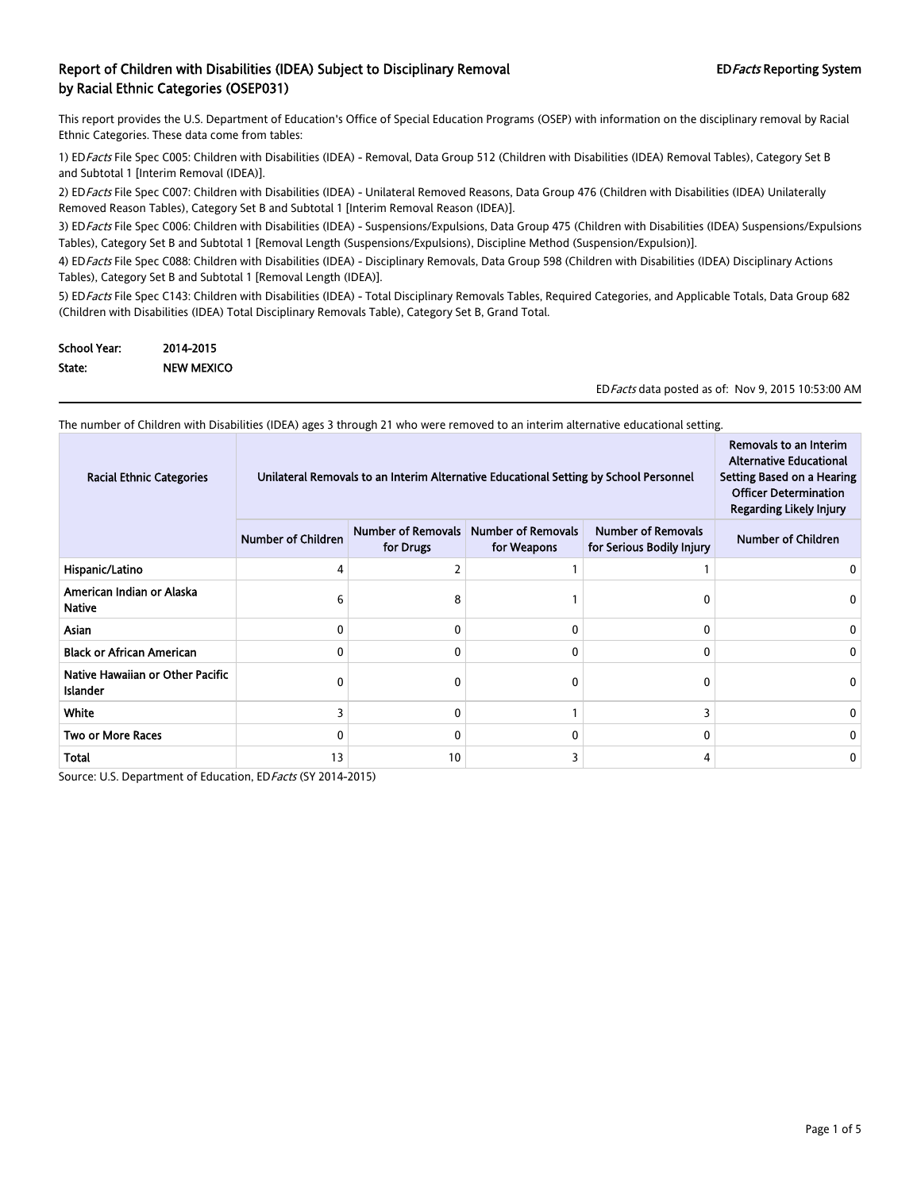This report provides the U.S. Department of Education's Office of Special Education Programs (OSEP) with information on the disciplinary removal by Racial Ethnic Categories. These data come from tables:

1) EDFacts File Spec C005: Children with Disabilities (IDEA) - Removal, Data Group 512 (Children with Disabilities (IDEA) Removal Tables), Category Set B and Subtotal 1 [Interim Removal (IDEA)].

2) ED Facts File Spec C007: Children with Disabilities (IDEA) - Unilateral Removed Reasons, Data Group 476 (Children with Disabilities (IDEA) Unilaterally Removed Reason Tables), Category Set B and Subtotal 1 [Interim Removal Reason (IDEA)].

3) EDFacts File Spec C006: Children with Disabilities (IDEA) - Suspensions/Expulsions, Data Group 475 (Children with Disabilities (IDEA) Suspensions/Expulsions Tables), Category Set B and Subtotal 1 [Removal Length (Suspensions/Expulsions), Discipline Method (Suspension/Expulsion)].

4) ED Facts File Spec C088: Children with Disabilities (IDEA) - Disciplinary Removals, Data Group 598 (Children with Disabilities (IDEA) Disciplinary Actions Tables), Category Set B and Subtotal 1 [Removal Length (IDEA)].

5) ED Facts File Spec C143: Children with Disabilities (IDEA) - Total Disciplinary Removals Tables, Required Categories, and Applicable Totals, Data Group 682 (Children with Disabilities (IDEA) Total Disciplinary Removals Table), Category Set B, Grand Total.

| <b>School Year:</b> | 2014-2015         |
|---------------------|-------------------|
| State:              | <b>NEW MEXICO</b> |

EDFacts data posted as of: Nov 9, 2015 10:53:00 AM

| The number of Children with Disabilities (IDEA) ages 3 through 21 who were removed to an interim alternative educational setting. |                                                                                       |                                        |                                          |                                                        |                                                                                                                                                          |
|-----------------------------------------------------------------------------------------------------------------------------------|---------------------------------------------------------------------------------------|----------------------------------------|------------------------------------------|--------------------------------------------------------|----------------------------------------------------------------------------------------------------------------------------------------------------------|
| <b>Racial Ethnic Categories</b>                                                                                                   | Unilateral Removals to an Interim Alternative Educational Setting by School Personnel |                                        |                                          |                                                        | Removals to an Interim<br><b>Alternative Educational</b><br>Setting Based on a Hearing<br><b>Officer Determination</b><br><b>Regarding Likely Injury</b> |
|                                                                                                                                   | <b>Number of Children</b>                                                             | <b>Number of Removals</b><br>for Drugs | <b>Number of Removals</b><br>for Weapons | <b>Number of Removals</b><br>for Serious Bodily Injury | <b>Number of Children</b>                                                                                                                                |
| Hispanic/Latino                                                                                                                   | 4                                                                                     |                                        |                                          |                                                        |                                                                                                                                                          |
| American Indian or Alaska<br><b>Native</b>                                                                                        | 6                                                                                     | 8                                      |                                          | 0                                                      |                                                                                                                                                          |
| Asian                                                                                                                             | 0                                                                                     |                                        | 0                                        | 0                                                      |                                                                                                                                                          |
| <b>Black or African American</b>                                                                                                  | 0                                                                                     |                                        | 0                                        | 0                                                      |                                                                                                                                                          |
| Native Hawaiian or Other Pacific<br><b>Islander</b>                                                                               | 0                                                                                     |                                        | 0                                        | 0                                                      |                                                                                                                                                          |
| <b>White</b>                                                                                                                      | 3                                                                                     |                                        |                                          | 3                                                      |                                                                                                                                                          |
| <b>Two or More Races</b>                                                                                                          | 0                                                                                     |                                        | 0                                        | 0                                                      |                                                                                                                                                          |
| Total                                                                                                                             | 13                                                                                    | 10                                     | 3                                        | 4                                                      |                                                                                                                                                          |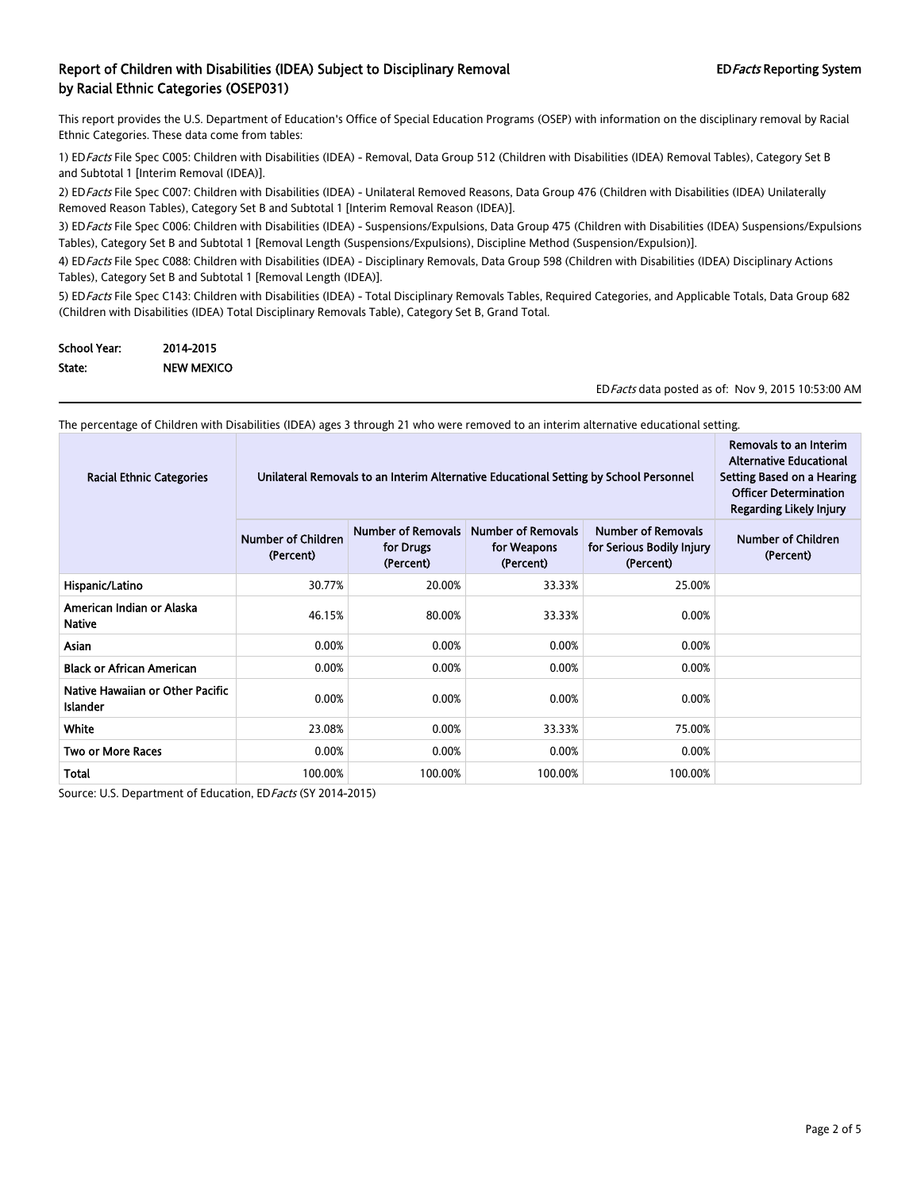This report provides the U.S. Department of Education's Office of Special Education Programs (OSEP) with information on the disciplinary removal by Racial Ethnic Categories. These data come from tables:

1) EDFacts File Spec C005: Children with Disabilities (IDEA) - Removal, Data Group 512 (Children with Disabilities (IDEA) Removal Tables), Category Set B and Subtotal 1 [Interim Removal (IDEA)].

2) ED Facts File Spec C007: Children with Disabilities (IDEA) - Unilateral Removed Reasons, Data Group 476 (Children with Disabilities (IDEA) Unilaterally Removed Reason Tables), Category Set B and Subtotal 1 [Interim Removal Reason (IDEA)].

3) ED Facts File Spec C006: Children with Disabilities (IDEA) - Suspensions/Expulsions, Data Group 475 (Children with Disabilities (IDEA) Suspensions/Expulsions Tables), Category Set B and Subtotal 1 [Removal Length (Suspensions/Expulsions), Discipline Method (Suspension/Expulsion)].

4) ED Facts File Spec C088: Children with Disabilities (IDEA) - Disciplinary Removals, Data Group 598 (Children with Disabilities (IDEA) Disciplinary Actions Tables), Category Set B and Subtotal 1 [Removal Length (IDEA)].

5) ED Facts File Spec C143: Children with Disabilities (IDEA) - Total Disciplinary Removals Tables, Required Categories, and Applicable Totals, Data Group 682 (Children with Disabilities (IDEA) Total Disciplinary Removals Table), Category Set B, Grand Total.

| <b>School Year:</b> | 2014-2015         |
|---------------------|-------------------|
| State:              | <b>NEW MEXICO</b> |

EDFacts data posted as of: Nov 9, 2015 10:53:00 AM

The percentage of Children with Disabilities (IDEA) ages 3 through 21 who were removed to an interim alternative educational setting.

| <b>Racial Ethnic Categories</b>                     | Unilateral Removals to an Interim Alternative Educational Setting by School Personnel | Removals to an Interim<br><b>Alternative Educational</b><br>Setting Based on a Hearing<br><b>Officer Determination</b><br>Regarding Likely Injury |         |         |  |
|-----------------------------------------------------|---------------------------------------------------------------------------------------|---------------------------------------------------------------------------------------------------------------------------------------------------|---------|---------|--|
|                                                     | Number of Children<br>(Percent)                                                       | Number of Children<br>(Percent)                                                                                                                   |         |         |  |
| Hispanic/Latino                                     | 30.77%                                                                                | 20.00%                                                                                                                                            | 33.33%  | 25.00%  |  |
| American Indian or Alaska<br>Native                 | 46.15%                                                                                | 80.00%                                                                                                                                            | 33.33%  | 0.00%   |  |
| Asian                                               | 0.00%                                                                                 | 0.00%                                                                                                                                             | 0.00%   | 0.00%   |  |
| <b>Black or African American</b>                    | 0.00%                                                                                 | 0.00%                                                                                                                                             | 0.00%   | 0.00%   |  |
| Native Hawaiian or Other Pacific<br><b>Islander</b> | 0.00%                                                                                 | 0.00%                                                                                                                                             | 0.00%   | 0.00%   |  |
| <b>White</b>                                        | 23.08%                                                                                | 0.00%                                                                                                                                             | 33.33%  | 75.00%  |  |
| <b>Two or More Races</b>                            | 0.00%                                                                                 | 0.00%                                                                                                                                             | 0.00%   | 0.00%   |  |
| Total                                               | 100.00%                                                                               | 100.00%                                                                                                                                           | 100.00% | 100.00% |  |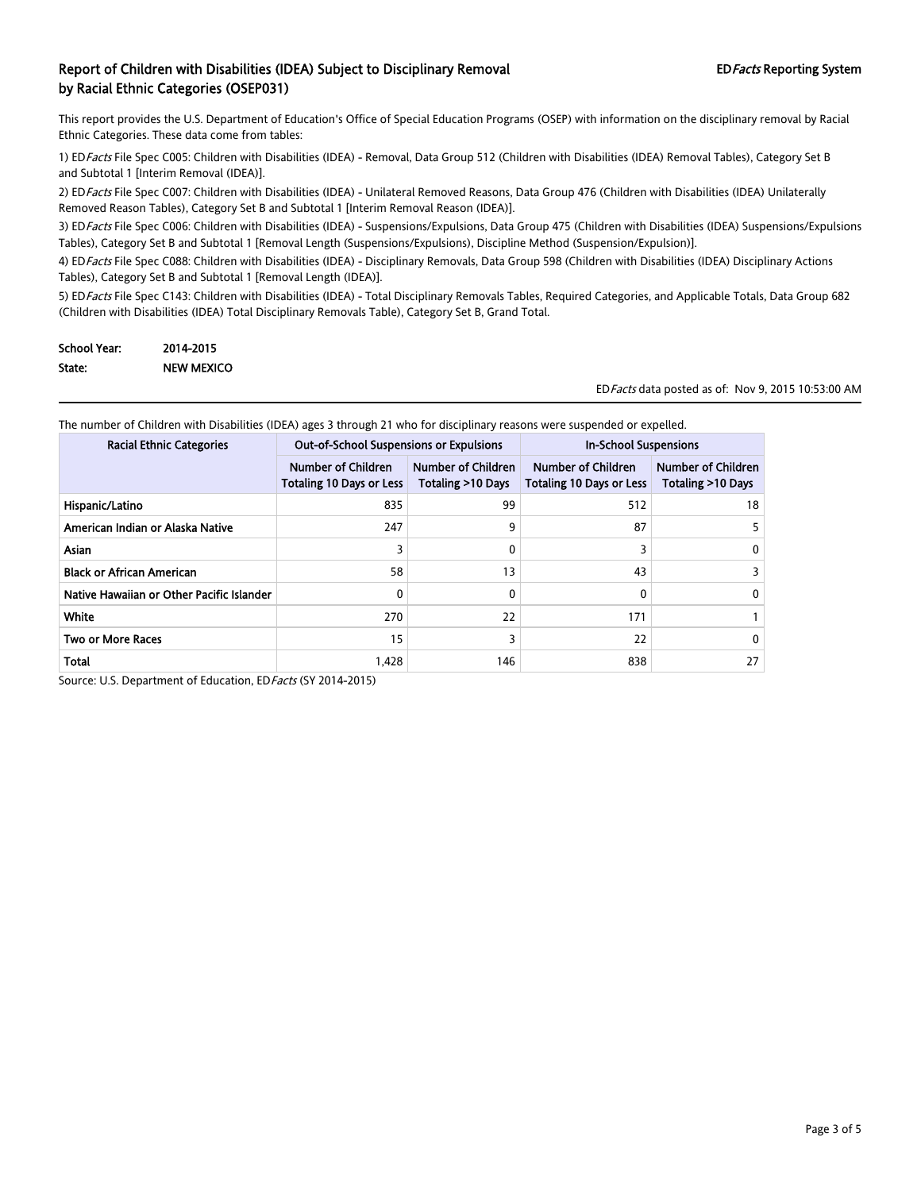This report provides the U.S. Department of Education's Office of Special Education Programs (OSEP) with information on the disciplinary removal by Racial Ethnic Categories. These data come from tables:

1) EDFacts File Spec C005: Children with Disabilities (IDEA) - Removal, Data Group 512 (Children with Disabilities (IDEA) Removal Tables), Category Set B and Subtotal 1 [Interim Removal (IDEA)].

2) ED Facts File Spec C007: Children with Disabilities (IDEA) - Unilateral Removed Reasons, Data Group 476 (Children with Disabilities (IDEA) Unilaterally Removed Reason Tables), Category Set B and Subtotal 1 [Interim Removal Reason (IDEA)].

3) ED Facts File Spec C006: Children with Disabilities (IDEA) - Suspensions/Expulsions, Data Group 475 (Children with Disabilities (IDEA) Suspensions/Expulsions Tables), Category Set B and Subtotal 1 [Removal Length (Suspensions/Expulsions), Discipline Method (Suspension/Expulsion)].

4) ED Facts File Spec C088: Children with Disabilities (IDEA) - Disciplinary Removals, Data Group 598 (Children with Disabilities (IDEA) Disciplinary Actions Tables), Category Set B and Subtotal 1 [Removal Length (IDEA)].

5) ED Facts File Spec C143: Children with Disabilities (IDEA) - Total Disciplinary Removals Tables, Required Categories, and Applicable Totals, Data Group 682 (Children with Disabilities (IDEA) Total Disciplinary Removals Table), Category Set B, Grand Total.

| <b>School Year:</b> | 2014-2015         |
|---------------------|-------------------|
| State:              | <b>NEW MEXICO</b> |

EDFacts data posted as of: Nov 9, 2015 10:53:00 AM

The number of Children with Disabilities (IDEA) ages 3 through 21 who for disciplinary reasons were suspended or expelled.

| <b>Racial Ethnic Categories</b>           | <b>Out-of-School Suspensions or Expulsions</b>               |                                                | <b>In-School Suspensions</b>                          |                                                |
|-------------------------------------------|--------------------------------------------------------------|------------------------------------------------|-------------------------------------------------------|------------------------------------------------|
|                                           | <b>Number of Children</b><br><b>Totaling 10 Days or Less</b> | <b>Number of Children</b><br>Totaling >10 Days | Number of Children<br><b>Totaling 10 Days or Less</b> | <b>Number of Children</b><br>Totaling >10 Days |
| Hispanic/Latino                           | 835                                                          | 99                                             | 512                                                   | 18                                             |
| American Indian or Alaska Native          | 247                                                          | 9                                              | 87                                                    |                                                |
| <b>Asian</b>                              | 3                                                            | 0                                              |                                                       | 0                                              |
| <b>Black or African American</b>          | 58                                                           | 13                                             | 43                                                    |                                                |
| Native Hawaiian or Other Pacific Islander | 0                                                            | 0                                              |                                                       | 0                                              |
| White                                     | 270                                                          | 22                                             | 171                                                   |                                                |
| <b>Two or More Races</b>                  | 15                                                           |                                                | 22                                                    | 0                                              |
| Total                                     | 1.428                                                        | 146                                            | 838                                                   | 27                                             |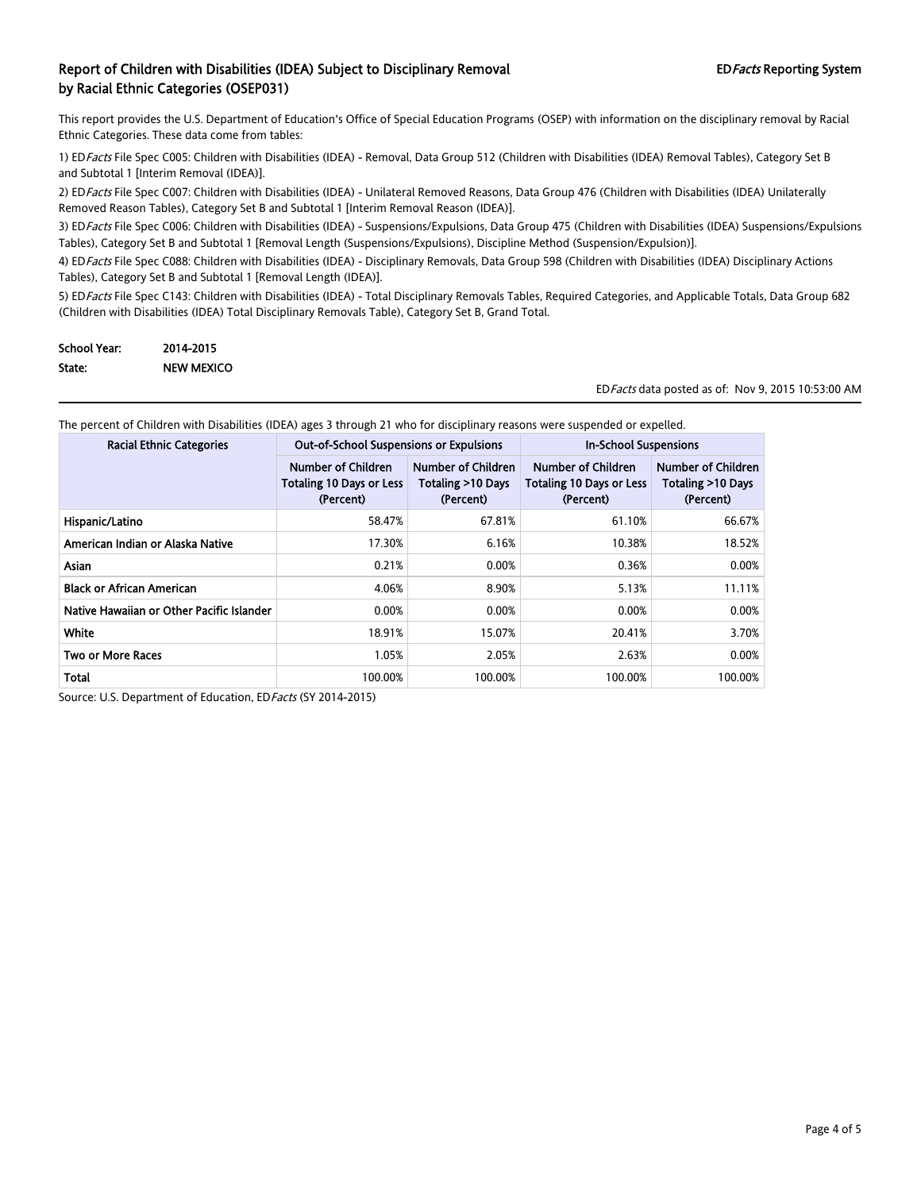This report provides the U.S. Department of Education's Office of Special Education Programs (OSEP) with information on the disciplinary removal by Racial Ethnic Categories. These data come from tables:

1) EDFacts File Spec C005: Children with Disabilities (IDEA) - Removal, Data Group 512 (Children with Disabilities (IDEA) Removal Tables), Category Set B and Subtotal 1 [Interim Removal (IDEA)].

2) ED Facts File Spec C007: Children with Disabilities (IDEA) - Unilateral Removed Reasons, Data Group 476 (Children with Disabilities (IDEA) Unilaterally Removed Reason Tables), Category Set B and Subtotal 1 [Interim Removal Reason (IDEA)].

3) ED Facts File Spec C006: Children with Disabilities (IDEA) - Suspensions/Expulsions, Data Group 475 (Children with Disabilities (IDEA) Suspensions/Expulsions Tables), Category Set B and Subtotal 1 [Removal Length (Suspensions/Expulsions), Discipline Method (Suspension/Expulsion)].

4) ED Facts File Spec C088: Children with Disabilities (IDEA) - Disciplinary Removals, Data Group 598 (Children with Disabilities (IDEA) Disciplinary Actions Tables), Category Set B and Subtotal 1 [Removal Length (IDEA)].

5) ED Facts File Spec C143: Children with Disabilities (IDEA) - Total Disciplinary Removals Tables, Required Categories, and Applicable Totals, Data Group 682 (Children with Disabilities (IDEA) Total Disciplinary Removals Table), Category Set B, Grand Total.

| <b>School Year:</b> | 2014-2015         |
|---------------------|-------------------|
| State:              | <b>NEW MEXICO</b> |

EDFacts data posted as of: Nov 9, 2015 10:53:00 AM

| <b>Racial Ethnic Categories</b>           | <b>Out-of-School Suspensions or Expulsions</b>                     |                                                             | <b>In-School Suspensions</b>                                       |                                                      |  |
|-------------------------------------------|--------------------------------------------------------------------|-------------------------------------------------------------|--------------------------------------------------------------------|------------------------------------------------------|--|
|                                           | Number of Children<br><b>Totaling 10 Days or Less</b><br>(Percent) | <b>Number of Children</b><br>Totaling >10 Days<br>(Percent) | Number of Children<br><b>Totaling 10 Days or Less</b><br>(Percent) | Number of Children<br>Totaling >10 Days<br>(Percent) |  |
| Hispanic/Latino                           | 58.47%                                                             | 67.81%                                                      | 61.10%                                                             | 66.67%                                               |  |
| American Indian or Alaska Native          | 17.30%                                                             | 6.16%                                                       | 10.38%                                                             | 18.52%                                               |  |
| <b>Asian</b>                              | 0.21%                                                              | 0.00%                                                       | 0.36%                                                              | 0.00%                                                |  |
| <b>Black or African American</b>          | 4.06%                                                              | 8.90%                                                       | 5.13%                                                              | 11.11%                                               |  |
| Native Hawaiian or Other Pacific Islander | 0.00%                                                              | 0.00%                                                       | 0.00%                                                              | 0.00%                                                |  |
| White                                     | 18.91%                                                             | 15.07%                                                      | 20.41%                                                             | 3.70%                                                |  |
| <b>Two or More Races</b>                  | 1.05%                                                              | 2.05%                                                       | 2.63%                                                              | 0.00%                                                |  |
| Total                                     | 100.00%                                                            | 100.00%                                                     | 100.00%                                                            | 100.00%                                              |  |

The percent of Children with Disabilities (IDEA) ages 3 through 21 who for disciplinary reasons were suspended or expelled.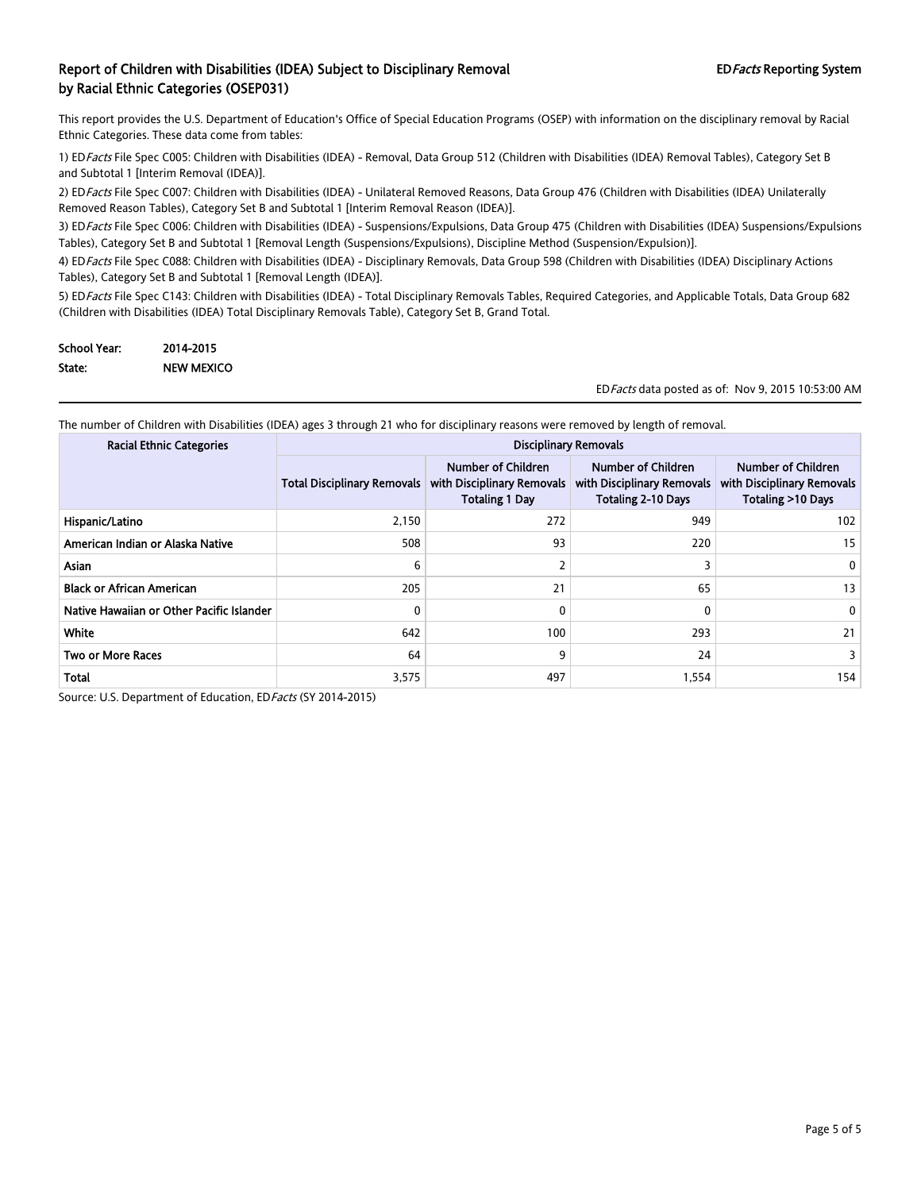This report provides the U.S. Department of Education's Office of Special Education Programs (OSEP) with information on the disciplinary removal by Racial Ethnic Categories. These data come from tables:

1) EDFacts File Spec C005: Children with Disabilities (IDEA) - Removal, Data Group 512 (Children with Disabilities (IDEA) Removal Tables), Category Set B and Subtotal 1 [Interim Removal (IDEA)].

2) ED Facts File Spec C007: Children with Disabilities (IDEA) - Unilateral Removed Reasons, Data Group 476 (Children with Disabilities (IDEA) Unilaterally Removed Reason Tables), Category Set B and Subtotal 1 [Interim Removal Reason (IDEA)].

3) ED Facts File Spec C006: Children with Disabilities (IDEA) - Suspensions/Expulsions, Data Group 475 (Children with Disabilities (IDEA) Suspensions/Expulsions Tables), Category Set B and Subtotal 1 [Removal Length (Suspensions/Expulsions), Discipline Method (Suspension/Expulsion)].

4) ED Facts File Spec C088: Children with Disabilities (IDEA) - Disciplinary Removals, Data Group 598 (Children with Disabilities (IDEA) Disciplinary Actions Tables), Category Set B and Subtotal 1 [Removal Length (IDEA)].

5) ED Facts File Spec C143: Children with Disabilities (IDEA) - Total Disciplinary Removals Tables, Required Categories, and Applicable Totals, Data Group 682 (Children with Disabilities (IDEA) Total Disciplinary Removals Table), Category Set B, Grand Total.

| <b>School Year:</b> | 2014-2015         |
|---------------------|-------------------|
| State:              | <b>NEW MEXICO</b> |

EDFacts data posted as of: Nov 9, 2015 10:53:00 AM

The number of Children with Disabilities (IDEA) ages 3 through 21 who for disciplinary reasons were removed by length of removal.

| <b>Racial Ethnic Categories</b>           | <b>Disciplinary Removals</b>       |                                                                           |                                                                               |                                                                       |
|-------------------------------------------|------------------------------------|---------------------------------------------------------------------------|-------------------------------------------------------------------------------|-----------------------------------------------------------------------|
|                                           | <b>Total Disciplinary Removals</b> | Number of Children<br>with Disciplinary Removals<br><b>Totaling 1 Day</b> | Number of Children<br>with Disciplinary Removals<br><b>Totaling 2-10 Days</b> | Number of Children<br>with Disciplinary Removals<br>Totaling >10 Days |
| Hispanic/Latino                           | 2,150                              | 272                                                                       | 949                                                                           | 102                                                                   |
| American Indian or Alaska Native          | 508                                | 93                                                                        | 220                                                                           | 15                                                                    |
| <b>Asian</b>                              | 6                                  |                                                                           | 3                                                                             | 0                                                                     |
| <b>Black or African American</b>          | 205                                | 21                                                                        | 65                                                                            | 13 <sup>13</sup>                                                      |
| Native Hawaiian or Other Pacific Islander | 0                                  | 0                                                                         | 0                                                                             | 0                                                                     |
| White                                     | 642                                | 100                                                                       | 293                                                                           | 21                                                                    |
| <b>Two or More Races</b>                  | 64                                 | 9                                                                         | 24                                                                            | 3                                                                     |
| <b>Total</b>                              | 3,575                              | 497                                                                       | 1,554                                                                         | 154                                                                   |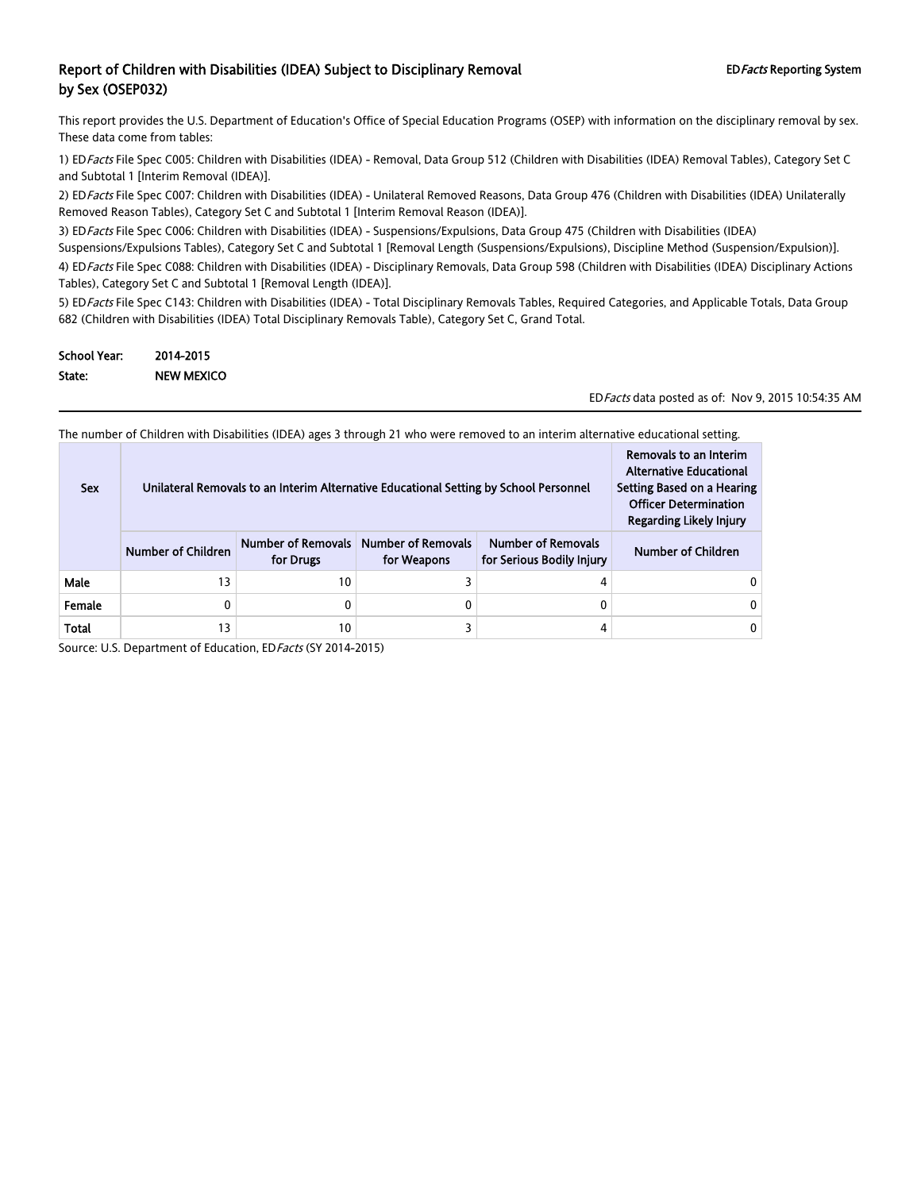This report provides the U.S. Department of Education's Office of Special Education Programs (OSEP) with information on the disciplinary removal by sex. These data come from tables:

1) ED Facts File Spec C005: Children with Disabilities (IDEA) - Removal, Data Group 512 (Children with Disabilities (IDEA) Removal Tables), Category Set C and Subtotal 1 [Interim Removal (IDEA)].

2) ED Facts File Spec C007: Children with Disabilities (IDEA) - Unilateral Removed Reasons, Data Group 476 (Children with Disabilities (IDEA) Unilaterally Removed Reason Tables), Category Set C and Subtotal 1 [Interim Removal Reason (IDEA)].

3) ED Facts File Spec C006: Children with Disabilities (IDEA) - Suspensions/Expulsions, Data Group 475 (Children with Disabilities (IDEA) Suspensions/Expulsions Tables), Category Set C and Subtotal 1 [Removal Length (Suspensions/Expulsions), Discipline Method (Suspension/Expulsion)]. 4) ED Facts File Spec C088: Children with Disabilities (IDEA) - Disciplinary Removals, Data Group 598 (Children with Disabilities (IDEA) Disciplinary Actions Tables), Category Set C and Subtotal 1 [Removal Length (IDEA)].

5) ED Facts File Spec C143: Children with Disabilities (IDEA) - Total Disciplinary Removals Tables, Required Categories, and Applicable Totals, Data Group 682 (Children with Disabilities (IDEA) Total Disciplinary Removals Table), Category Set C, Grand Total.

| <b>School Year:</b> | 2014-2015  |
|---------------------|------------|
| State:              | NEW MEXICO |

EDFacts data posted as of: Nov 9, 2015 10:54:35 AM

The number of Children with Disabilities (IDEA) ages 3 through 21 who were removed to an interim alternative educational setting.

| <b>Sex</b> | Unilateral Removals to an Interim Alternative Educational Setting by School Personnel | Removals to an Interim<br><b>Alternative Educational</b><br>Setting Based on a Hearing<br><b>Officer Determination</b><br>Regarding Likely Injury |  |  |
|------------|---------------------------------------------------------------------------------------|---------------------------------------------------------------------------------------------------------------------------------------------------|--|--|
|            | <b>Number of Children</b>                                                             | Number of Children                                                                                                                                |  |  |
| Male       | 13                                                                                    | 10                                                                                                                                                |  |  |
| Female     |                                                                                       | 0                                                                                                                                                 |  |  |
| Total      | 13                                                                                    | 10                                                                                                                                                |  |  |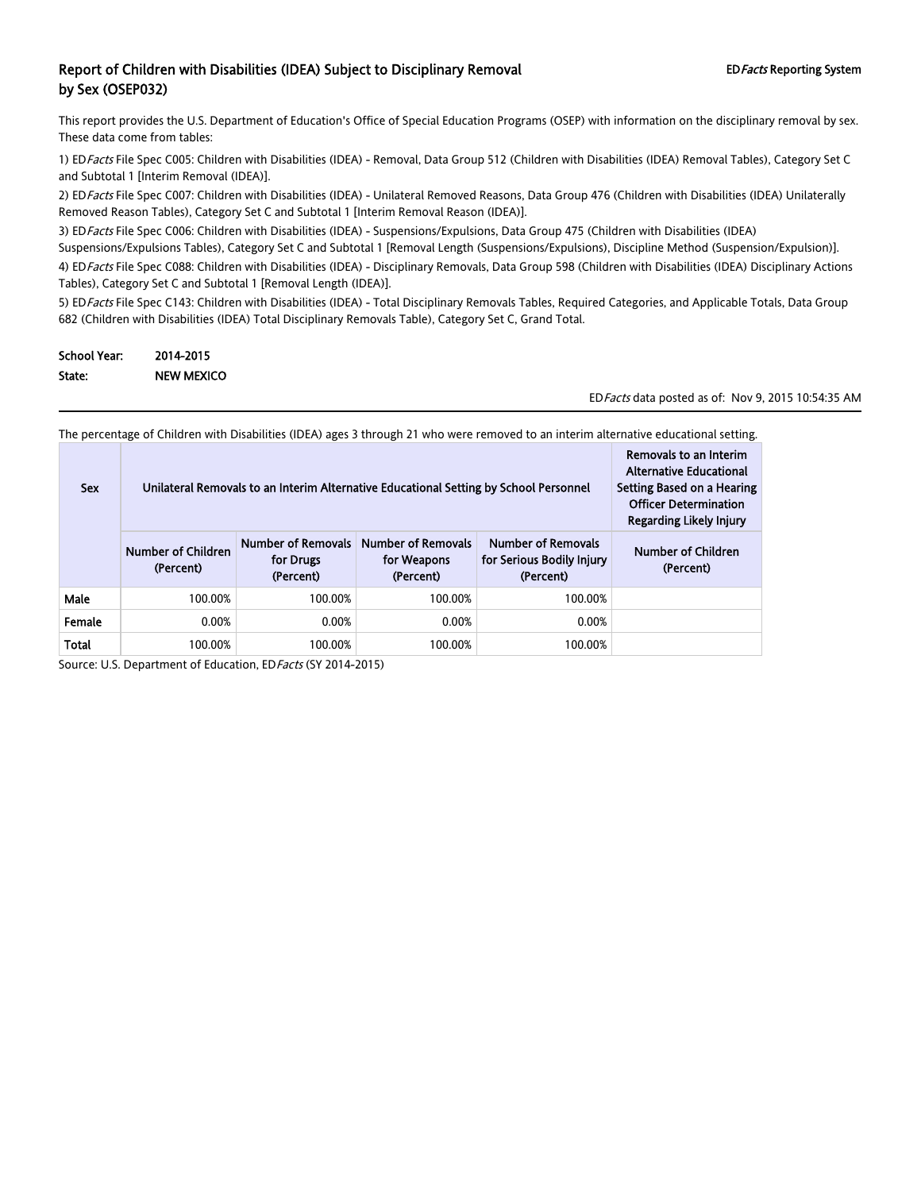This report provides the U.S. Department of Education's Office of Special Education Programs (OSEP) with information on the disciplinary removal by sex. These data come from tables:

1) ED Facts File Spec C005: Children with Disabilities (IDEA) - Removal, Data Group 512 (Children with Disabilities (IDEA) Removal Tables), Category Set C and Subtotal 1 [Interim Removal (IDEA)].

2) ED Facts File Spec C007: Children with Disabilities (IDEA) - Unilateral Removed Reasons, Data Group 476 (Children with Disabilities (IDEA) Unilaterally Removed Reason Tables), Category Set C and Subtotal 1 [Interim Removal Reason (IDEA)].

3) ED Facts File Spec C006: Children with Disabilities (IDEA) - Suspensions/Expulsions, Data Group 475 (Children with Disabilities (IDEA) Suspensions/Expulsions Tables), Category Set C and Subtotal 1 [Removal Length (Suspensions/Expulsions), Discipline Method (Suspension/Expulsion)]. 4) ED Facts File Spec C088: Children with Disabilities (IDEA) - Disciplinary Removals, Data Group 598 (Children with Disabilities (IDEA) Disciplinary Actions Tables), Category Set C and Subtotal 1 [Removal Length (IDEA)].

5) ED Facts File Spec C143: Children with Disabilities (IDEA) - Total Disciplinary Removals Tables, Required Categories, and Applicable Totals, Data Group 682 (Children with Disabilities (IDEA) Total Disciplinary Removals Table), Category Set C, Grand Total.

| <b>School Year:</b> | 2014-2015  |
|---------------------|------------|
| State:              | NEW MEXICO |

EDFacts data posted as of: Nov 9, 2015 10:54:35 AM

The percentage of Children with Disabilities (IDEA) ages 3 through 21 who were removed to an interim alternative educational setting.

| <b>Sex</b>   | Unilateral Removals to an Interim Alternative Educational Setting by School Personnel | Removals to an Interim<br><b>Alternative Educational</b><br>Setting Based on a Hearing<br><b>Officer Determination</b><br><b>Regarding Likely Injury</b> |                                                       |                                                                     |                                 |
|--------------|---------------------------------------------------------------------------------------|----------------------------------------------------------------------------------------------------------------------------------------------------------|-------------------------------------------------------|---------------------------------------------------------------------|---------------------------------|
|              | Number of Children<br>(Percent)                                                       | <b>Number of Removals</b><br>for Drugs<br>(Percent)                                                                                                      | <b>Number of Removals</b><br>for Weapons<br>(Percent) | <b>Number of Removals</b><br>for Serious Bodily Injury<br>(Percent) | Number of Children<br>(Percent) |
| Male         | 100.00%                                                                               | 100.00%                                                                                                                                                  | 100.00%                                               | 100.00%                                                             |                                 |
| Female       | 0.00%                                                                                 | 0.00%                                                                                                                                                    | 0.00%                                                 | 0.00%                                                               |                                 |
| <b>Total</b> | 100.00%                                                                               | 100.00%                                                                                                                                                  | 100.00%                                               | 100.00%                                                             |                                 |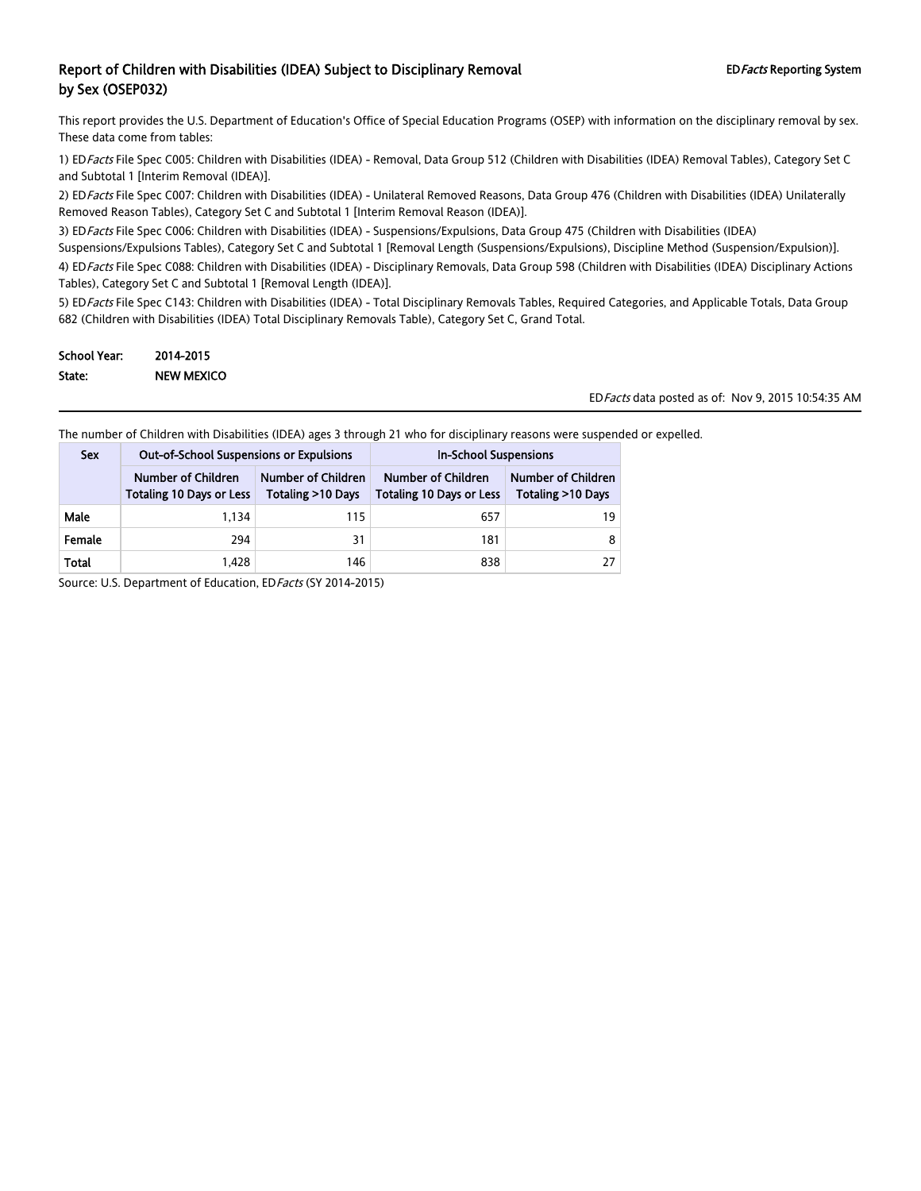This report provides the U.S. Department of Education's Office of Special Education Programs (OSEP) with information on the disciplinary removal by sex. These data come from tables:

1) ED Facts File Spec C005: Children with Disabilities (IDEA) - Removal, Data Group 512 (Children with Disabilities (IDEA) Removal Tables), Category Set C and Subtotal 1 [Interim Removal (IDEA)].

2) ED Facts File Spec C007: Children with Disabilities (IDEA) - Unilateral Removed Reasons, Data Group 476 (Children with Disabilities (IDEA) Unilaterally Removed Reason Tables), Category Set C and Subtotal 1 [Interim Removal Reason (IDEA)].

3) ED Facts File Spec C006: Children with Disabilities (IDEA) - Suspensions/Expulsions, Data Group 475 (Children with Disabilities (IDEA)

Suspensions/Expulsions Tables), Category Set C and Subtotal 1 [Removal Length (Suspensions/Expulsions), Discipline Method (Suspension/Expulsion)].

4) ED Facts File Spec C088: Children with Disabilities (IDEA) - Disciplinary Removals, Data Group 598 (Children with Disabilities (IDEA) Disciplinary Actions Tables), Category Set C and Subtotal 1 [Removal Length (IDEA)].

5) ED Facts File Spec C143: Children with Disabilities (IDEA) - Total Disciplinary Removals Tables, Required Categories, and Applicable Totals, Data Group 682 (Children with Disabilities (IDEA) Total Disciplinary Removals Table), Category Set C, Grand Total.

| School Year: | 2014-2015         |
|--------------|-------------------|
| State:       | <b>NEW MEXICO</b> |

EDFacts data posted as of: Nov 9, 2015 10:54:35 AM

The number of Children with Disabilities (IDEA) ages 3 through 21 who for disciplinary reasons were suspended or expelled.

| <b>Sex</b> | <b>Out-of-School Suspensions or Expulsions</b>        |                                                   | <b>In-School Suspensions</b>                          |                                         |  |
|------------|-------------------------------------------------------|---------------------------------------------------|-------------------------------------------------------|-----------------------------------------|--|
|            | Number of Children<br><b>Totaling 10 Days or Less</b> | Number of Children<br><b>Totaling &gt;10 Days</b> | Number of Children<br><b>Totaling 10 Days or Less</b> | Number of Children<br>Totaling >10 Days |  |
| Male       | 1.134                                                 | 115                                               | 657                                                   | 19                                      |  |
| Female     | 294                                                   | 31                                                | 181                                                   |                                         |  |
| Total      | 1.428                                                 | 146                                               | 838                                                   |                                         |  |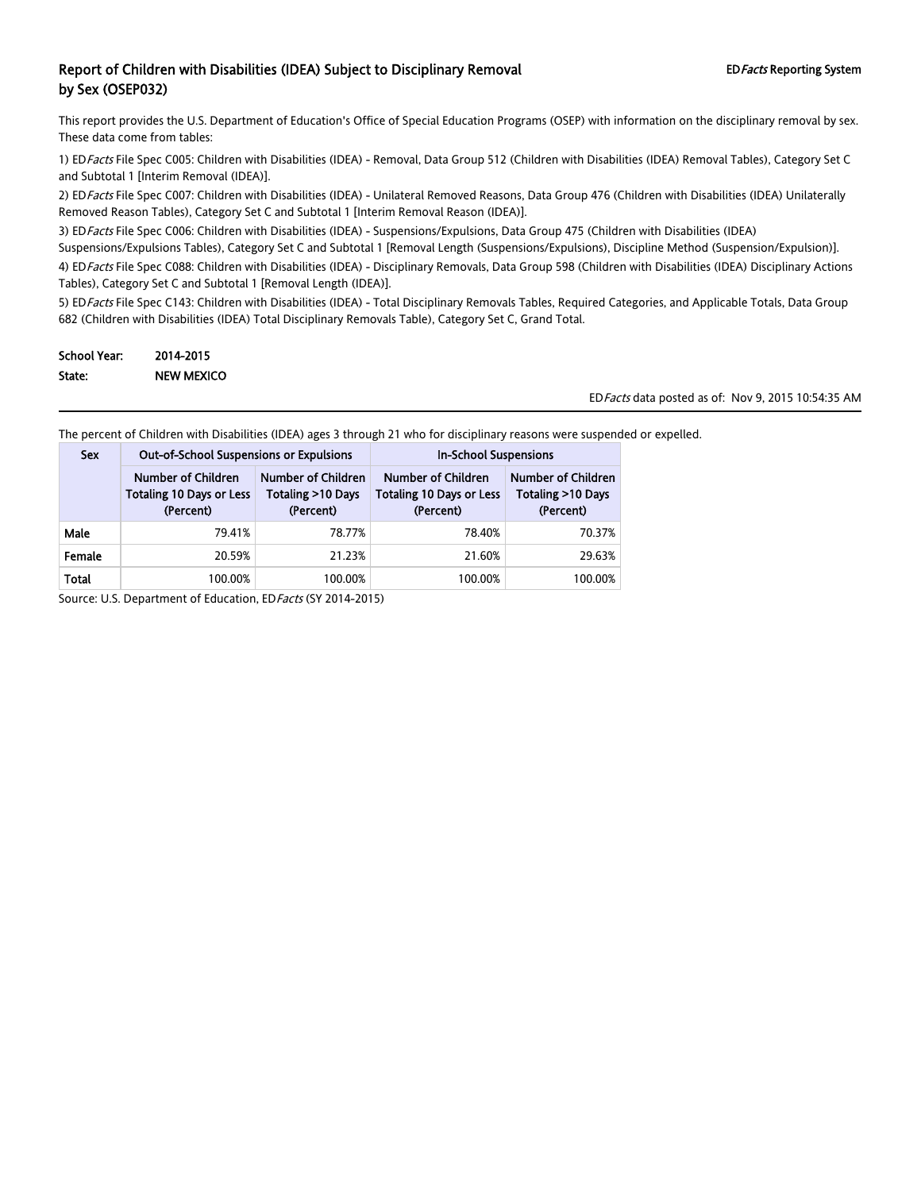This report provides the U.S. Department of Education's Office of Special Education Programs (OSEP) with information on the disciplinary removal by sex. These data come from tables:

1) ED Facts File Spec C005: Children with Disabilities (IDEA) - Removal, Data Group 512 (Children with Disabilities (IDEA) Removal Tables), Category Set C and Subtotal 1 [Interim Removal (IDEA)].

2) ED Facts File Spec C007: Children with Disabilities (IDEA) - Unilateral Removed Reasons, Data Group 476 (Children with Disabilities (IDEA) Unilaterally Removed Reason Tables), Category Set C and Subtotal 1 [Interim Removal Reason (IDEA)].

3) ED Facts File Spec C006: Children with Disabilities (IDEA) - Suspensions/Expulsions, Data Group 475 (Children with Disabilities (IDEA)

Suspensions/Expulsions Tables), Category Set C and Subtotal 1 [Removal Length (Suspensions/Expulsions), Discipline Method (Suspension/Expulsion)].

4) ED Facts File Spec C088: Children with Disabilities (IDEA) - Disciplinary Removals, Data Group 598 (Children with Disabilities (IDEA) Disciplinary Actions Tables), Category Set C and Subtotal 1 [Removal Length (IDEA)].

5) ED Facts File Spec C143: Children with Disabilities (IDEA) - Total Disciplinary Removals Tables, Required Categories, and Applicable Totals, Data Group 682 (Children with Disabilities (IDEA) Total Disciplinary Removals Table), Category Set C, Grand Total.

| School Year: | 2014-2015         |
|--------------|-------------------|
| State:       | <b>NEW MEXICO</b> |

EDFacts data posted as of: Nov 9, 2015 10:54:35 AM

The percent of Children with Disabilities (IDEA) ages 3 through 21 who for disciplinary reasons were suspended or expelled.

| <b>Sex</b> | <b>Out-of-School Suspensions or Expulsions</b>                     |                                                                | <b>In-School Suspensions</b>                                              |                                                      |  |
|------------|--------------------------------------------------------------------|----------------------------------------------------------------|---------------------------------------------------------------------------|------------------------------------------------------|--|
|            | Number of Children<br><b>Totaling 10 Days or Less</b><br>(Percent) | Number of Children<br><b>Totaling &gt;10 Days</b><br>(Percent) | <b>Number of Children</b><br><b>Totaling 10 Days or Less</b><br>(Percent) | Number of Children<br>Totaling >10 Days<br>(Percent) |  |
| Male       | 79.41%                                                             | 78.77%                                                         | 78.40%                                                                    | 70.37%                                               |  |
| Female     | 20.59%                                                             | 21.23%                                                         | 21.60%                                                                    | 29.63%                                               |  |
| Total      | 100.00%                                                            | 100.00%                                                        | 100.00%                                                                   | 100.00%                                              |  |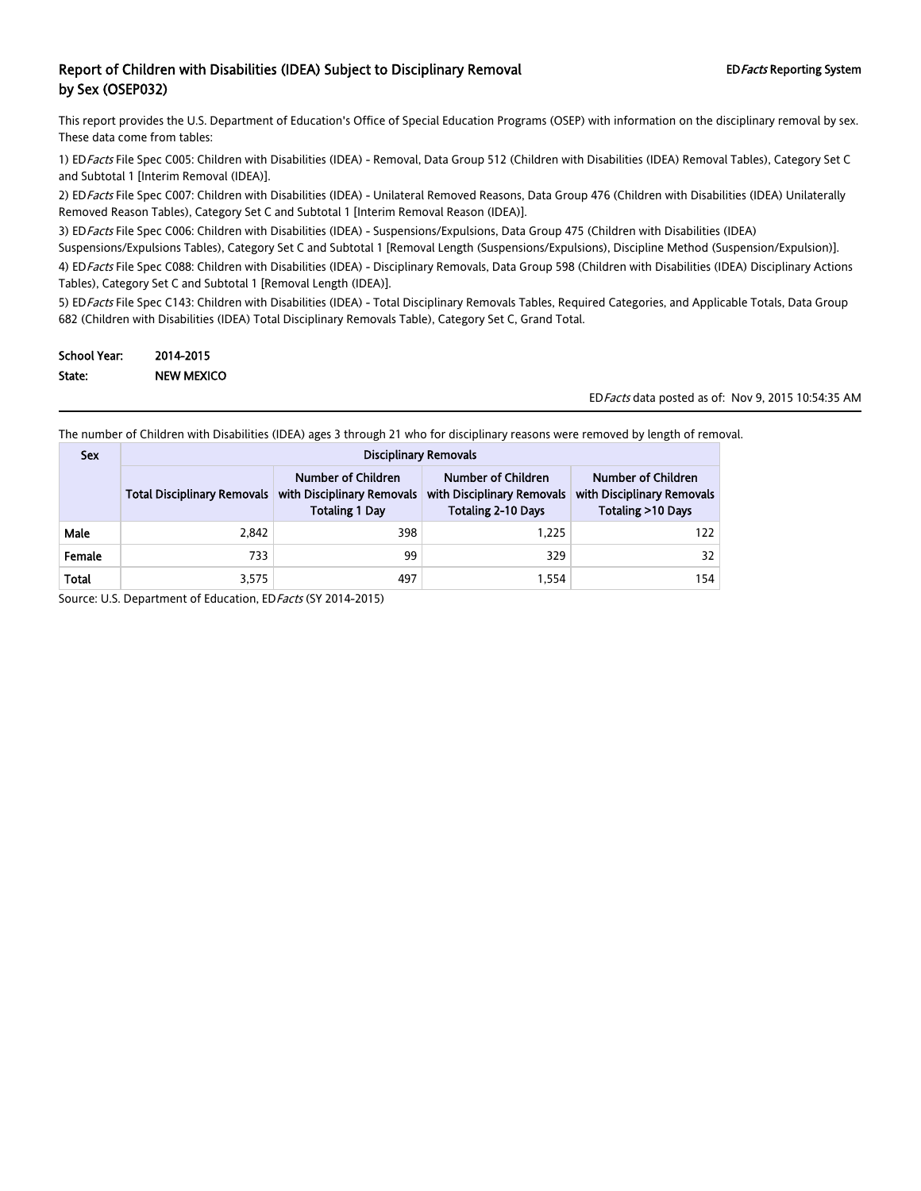This report provides the U.S. Department of Education's Office of Special Education Programs (OSEP) with information on the disciplinary removal by sex. These data come from tables:

1) ED Facts File Spec C005: Children with Disabilities (IDEA) - Removal, Data Group 512 (Children with Disabilities (IDEA) Removal Tables), Category Set C and Subtotal 1 [Interim Removal (IDEA)].

2) ED Facts File Spec C007: Children with Disabilities (IDEA) - Unilateral Removed Reasons, Data Group 476 (Children with Disabilities (IDEA) Unilaterally Removed Reason Tables), Category Set C and Subtotal 1 [Interim Removal Reason (IDEA)].

3) ED Facts File Spec C006: Children with Disabilities (IDEA) - Suspensions/Expulsions, Data Group 475 (Children with Disabilities (IDEA)

Suspensions/Expulsions Tables), Category Set C and Subtotal 1 [Removal Length (Suspensions/Expulsions), Discipline Method (Suspension/Expulsion)]. 4) ED Facts File Spec C088: Children with Disabilities (IDEA) - Disciplinary Removals, Data Group 598 (Children with Disabilities (IDEA) Disciplinary Actions Tables), Category Set C and Subtotal 1 [Removal Length (IDEA)].

5) ED Facts File Spec C143: Children with Disabilities (IDEA) - Total Disciplinary Removals Tables, Required Categories, and Applicable Totals, Data Group 682 (Children with Disabilities (IDEA) Total Disciplinary Removals Table), Category Set C, Grand Total.

| <b>School Year:</b> | 2014-2015         |
|---------------------|-------------------|
| State:              | <b>NEW MEXICO</b> |

EDFacts data posted as of: Nov 9, 2015 10:54:35 AM

The number of Children with Disabilities (IDEA) ages 3 through 21 who for disciplinary reasons were removed by length of removal.

| <b>Sex</b> | <b>Disciplinary Removals</b>                                                                                    |     |                                                                               |                                                                       |  |  |
|------------|-----------------------------------------------------------------------------------------------------------------|-----|-------------------------------------------------------------------------------|-----------------------------------------------------------------------|--|--|
|            | Number of Children<br>with Disciplinary Removals<br><b>Total Disciplinary Removals</b><br><b>Totaling 1 Day</b> |     | Number of Children<br>with Disciplinary Removals<br><b>Totaling 2-10 Days</b> | Number of Children<br>with Disciplinary Removals<br>Totaling >10 Days |  |  |
| Male       | 2,842                                                                                                           | 398 | 1.225                                                                         | 122                                                                   |  |  |
| Female     | 733                                                                                                             | 99  | 329                                                                           | 32                                                                    |  |  |
| Total      | 3,575                                                                                                           | 497 | 1.554                                                                         | 154                                                                   |  |  |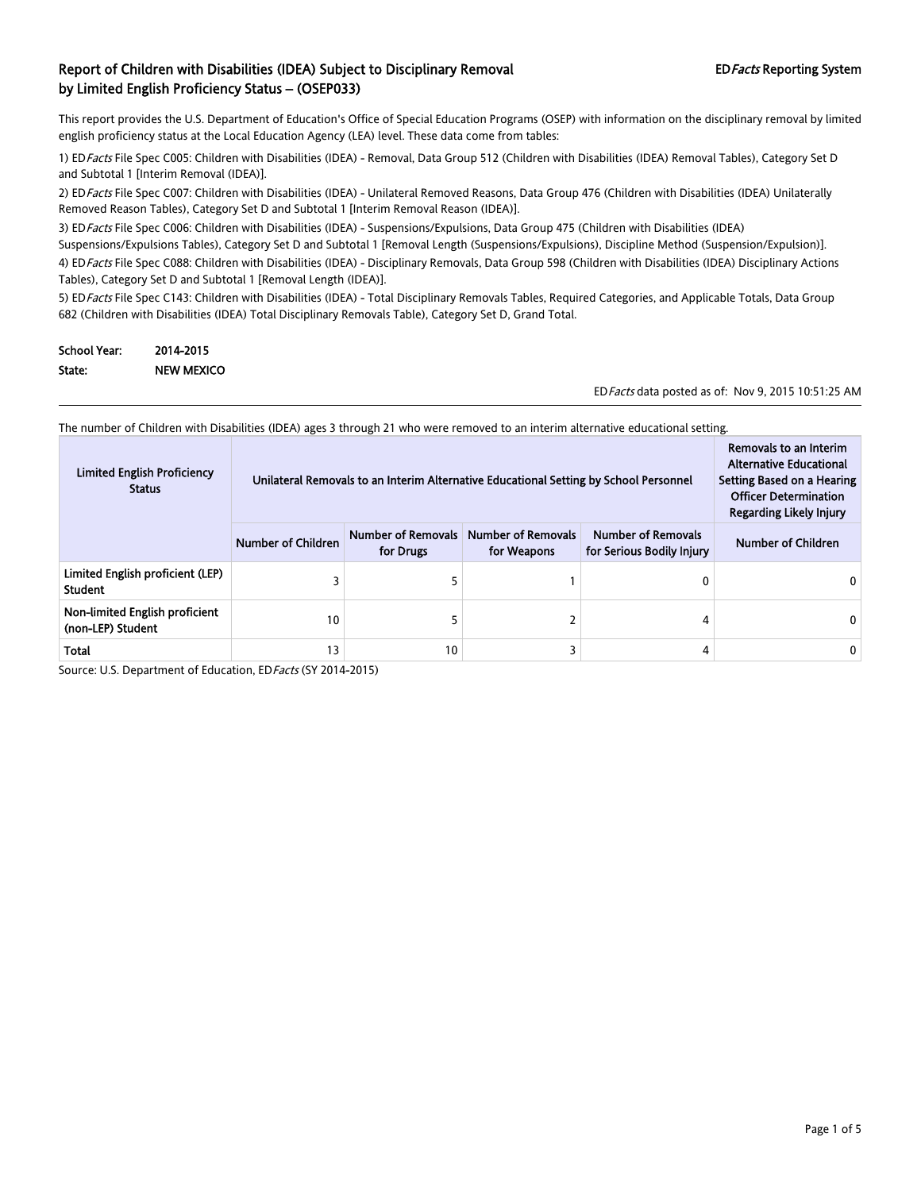This report provides the U.S. Department of Education's Office of Special Education Programs (OSEP) with information on the disciplinary removal by limited english proficiency status at the Local Education Agency (LEA) level. These data come from tables:

1) ED Facts File Spec C005: Children with Disabilities (IDEA) - Removal, Data Group 512 (Children with Disabilities (IDEA) Removal Tables), Category Set D and Subtotal 1 [Interim Removal (IDEA)].

2) ED Facts File Spec C007: Children with Disabilities (IDEA) - Unilateral Removed Reasons, Data Group 476 (Children with Disabilities (IDEA) Unilaterally Removed Reason Tables), Category Set D and Subtotal 1 [Interim Removal Reason (IDEA)].

3) ED Facts File Spec C006: Children with Disabilities (IDEA) - Suspensions/Expulsions, Data Group 475 (Children with Disabilities (IDEA) Suspensions/Expulsions Tables), Category Set D and Subtotal 1 [Removal Length (Suspensions/Expulsions), Discipline Method (Suspension/Expulsion)].

4) ED Facts File Spec C088: Children with Disabilities (IDEA) - Disciplinary Removals, Data Group 598 (Children with Disabilities (IDEA) Disciplinary Actions Tables), Category Set D and Subtotal 1 [Removal Length (IDEA)].

5) ED Facts File Spec C143: Children with Disabilities (IDEA) - Total Disciplinary Removals Tables, Required Categories, and Applicable Totals, Data Group 682 (Children with Disabilities (IDEA) Total Disciplinary Removals Table), Category Set D, Grand Total.

| <b>School Year:</b> | 2014-2015         |
|---------------------|-------------------|
| State:              | <b>NEW MEXICO</b> |

EDFacts data posted as of: Nov 9, 2015 10:51:25 AM

The number of Children with Disabilities (IDEA) ages 3 through 21 who were removed to an interim alternative educational setting.

| <b>Limited English Proficiency</b><br><b>Status</b> | Unilateral Removals to an Interim Alternative Educational Setting by School Personnel |                                        |                                          | Removals to an Interim<br><b>Alternative Educational</b><br>Setting Based on a Hearing<br><b>Officer Determination</b><br>Regarding Likely Injury |                    |
|-----------------------------------------------------|---------------------------------------------------------------------------------------|----------------------------------------|------------------------------------------|---------------------------------------------------------------------------------------------------------------------------------------------------|--------------------|
|                                                     | <b>Number of Children</b>                                                             | <b>Number of Removals</b><br>for Drugs | <b>Number of Removals</b><br>for Weapons | <b>Number of Removals</b><br>for Serious Bodily Injury                                                                                            | Number of Children |
| Limited English proficient (LEP)<br><b>Student</b>  |                                                                                       |                                        |                                          | 0                                                                                                                                                 |                    |
| Non-limited English proficient<br>(non-LEP) Student | 10                                                                                    |                                        |                                          | 4                                                                                                                                                 |                    |
| <b>Total</b>                                        | 13                                                                                    | 10                                     |                                          | 4                                                                                                                                                 | 0                  |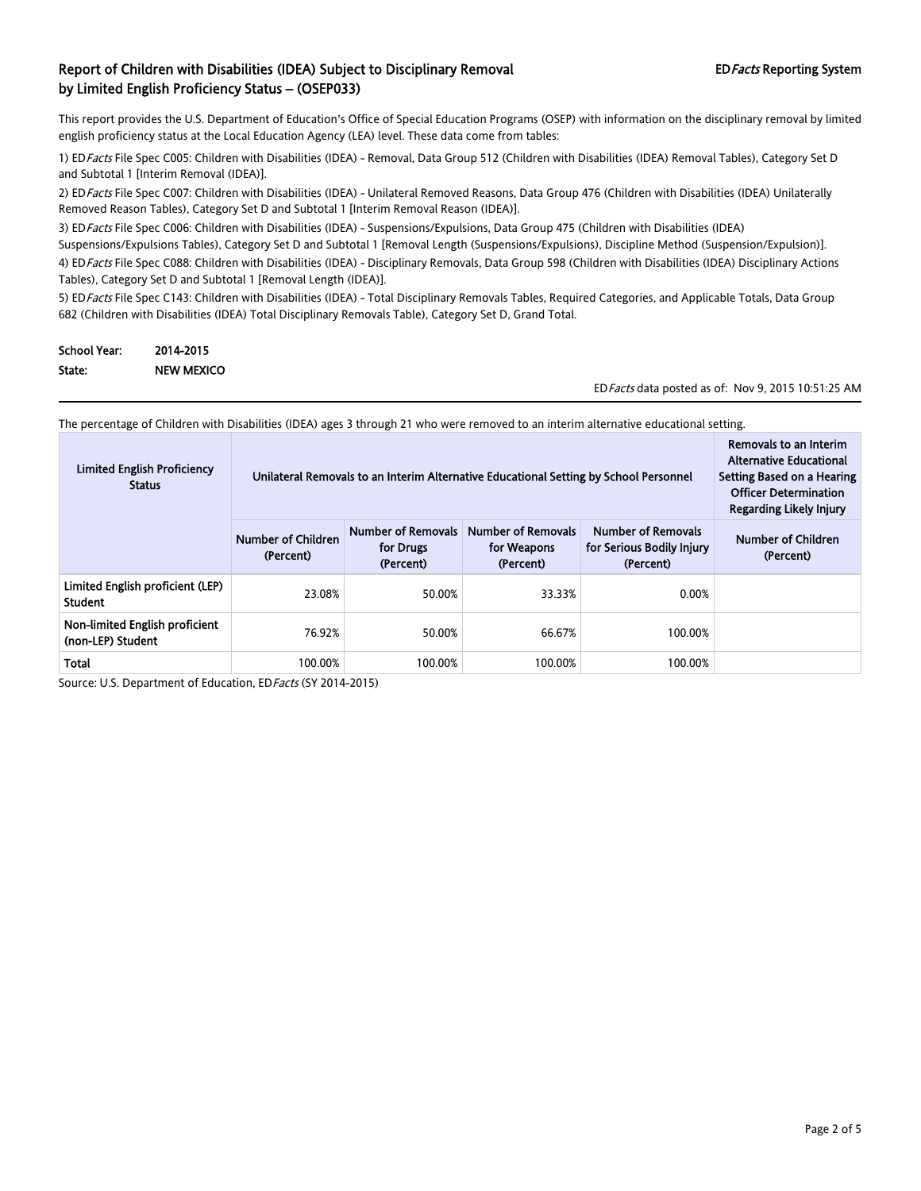This report provides the U.S. Department of Education's Office of Special Education Programs (OSEP) with information on the disciplinary removal by limited english proficiency status at the Local Education Agency (LEA) level. These data come from tables:

1) ED Facts File Spec C005: Children with Disabilities (IDEA) - Removal, Data Group 512 (Children with Disabilities (IDEA) Removal Tables), Category Set D and Subtotal 1 [Interim Removal (IDEA)].

2) ED Facts File Spec C007: Children with Disabilities (IDEA) - Unilateral Removed Reasons, Data Group 476 (Children with Disabilities (IDEA) Unilaterally Removed Reason Tables), Category Set D and Subtotal 1 [Interim Removal Reason (IDEA)].

3) ED Facts File Spec C006: Children with Disabilities (IDEA) - Suspensions/Expulsions, Data Group 475 (Children with Disabilities (IDEA) Suspensions/Expulsions Tables), Category Set D and Subtotal 1 [Removal Length (Suspensions/Expulsions), Discipline Method (Suspension/Expulsion)].

4) ED Facts File Spec C088: Children with Disabilities (IDEA) - Disciplinary Removals, Data Group 598 (Children with Disabilities (IDEA) Disciplinary Actions Tables), Category Set D and Subtotal 1 [Removal Length (IDEA)].

5) ED Facts File Spec C143: Children with Disabilities (IDEA) - Total Disciplinary Removals Tables, Required Categories, and Applicable Totals, Data Group 682 (Children with Disabilities (IDEA) Total Disciplinary Removals Table), Category Set D, Grand Total.

| <b>School Year:</b> | 2014-2015         |
|---------------------|-------------------|
| State:              | <b>NEW MEXICO</b> |

EDFacts data posted as of: Nov 9, 2015 10:51:25 AM

The percentage of Children with Disabilities (IDEA) ages 3 through 21 who were removed to an interim alternative educational setting.

| <b>Limited English Proficiency</b><br><b>Status</b> | Removals to an Interim<br><b>Alternative Educational</b><br>Unilateral Removals to an Interim Alternative Educational Setting by School Personnel<br>Setting Based on a Hearing<br><b>Officer Determination</b><br><b>Regarding Likely Injury</b> |                                                     |                                                       |                                                                     |                                 |  |  |  |
|-----------------------------------------------------|---------------------------------------------------------------------------------------------------------------------------------------------------------------------------------------------------------------------------------------------------|-----------------------------------------------------|-------------------------------------------------------|---------------------------------------------------------------------|---------------------------------|--|--|--|
|                                                     | Number of Children<br>(Percent)                                                                                                                                                                                                                   | <b>Number of Removals</b><br>for Drugs<br>(Percent) | <b>Number of Removals</b><br>for Weapons<br>(Percent) | <b>Number of Removals</b><br>for Serious Bodily Injury<br>(Percent) | Number of Children<br>(Percent) |  |  |  |
| Limited English proficient (LEP)<br><b>Student</b>  | 23.08%                                                                                                                                                                                                                                            | 50.00%                                              | 33.33%                                                | 0.00%                                                               |                                 |  |  |  |
| Non-limited English proficient<br>(non-LEP) Student | 76.92%                                                                                                                                                                                                                                            | 50.00%                                              | 66.67%                                                | 100.00%                                                             |                                 |  |  |  |
| Total                                               | 100.00%                                                                                                                                                                                                                                           | 100.00%                                             | 100.00%                                               | 100.00%                                                             |                                 |  |  |  |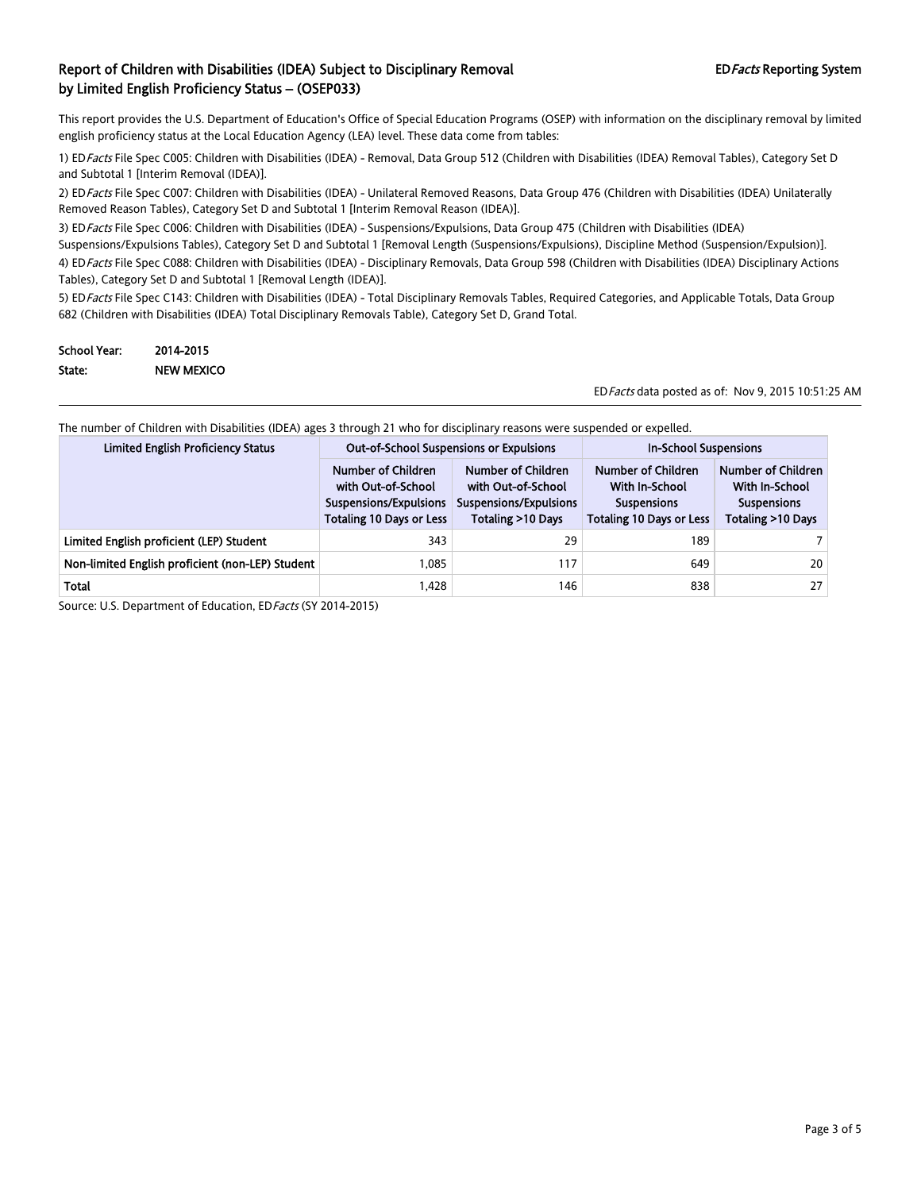This report provides the U.S. Department of Education's Office of Special Education Programs (OSEP) with information on the disciplinary removal by limited english proficiency status at the Local Education Agency (LEA) level. These data come from tables:

1) ED Facts File Spec C005: Children with Disabilities (IDEA) - Removal, Data Group 512 (Children with Disabilities (IDEA) Removal Tables), Category Set D and Subtotal 1 [Interim Removal (IDEA)].

2) ED Facts File Spec C007: Children with Disabilities (IDEA) - Unilateral Removed Reasons, Data Group 476 (Children with Disabilities (IDEA) Unilaterally Removed Reason Tables), Category Set D and Subtotal 1 [Interim Removal Reason (IDEA)].

3) ED Facts File Spec C006: Children with Disabilities (IDEA) - Suspensions/Expulsions, Data Group 475 (Children with Disabilities (IDEA)

Suspensions/Expulsions Tables), Category Set D and Subtotal 1 [Removal Length (Suspensions/Expulsions), Discipline Method (Suspension/Expulsion)]. 4) ED Facts File Spec C088: Children with Disabilities (IDEA) - Disciplinary Removals, Data Group 598 (Children with Disabilities (IDEA) Disciplinary Actions Tables), Category Set D and Subtotal 1 [Removal Length (IDEA)].

5) ED Facts File Spec C143: Children with Disabilities (IDEA) - Total Disciplinary Removals Tables, Required Categories, and Applicable Totals, Data Group 682 (Children with Disabilities (IDEA) Total Disciplinary Removals Table), Category Set D, Grand Total.

| <b>School Year:</b> | 2014-2015         |
|---------------------|-------------------|
| State:              | <b>NEW MEXICO</b> |

EDFacts data posted as of: Nov 9, 2015 10:51:25 AM

| The number of Children with Disabilities (IDEA) ages 3 through 21 who for disciplinary reasons were suspended or expelled. |  |  |  |
|----------------------------------------------------------------------------------------------------------------------------|--|--|--|
|                                                                                                                            |  |  |  |

| <b>Limited English Proficiency Status</b>        | <b>Out-of-School Suspensions or Expulsions</b>                                                        |                                                                                         | <b>In-School Suspensions</b>                                                                  |                                                                                        |
|--------------------------------------------------|-------------------------------------------------------------------------------------------------------|-----------------------------------------------------------------------------------------|-----------------------------------------------------------------------------------------------|----------------------------------------------------------------------------------------|
|                                                  | Number of Children<br>with Out-of-School<br>Suspensions/Expulsions<br><b>Totaling 10 Days or Less</b> | Number of Children<br>with Out-of-School<br>Suspensions/Expulsions<br>Totaling >10 Days | Number of Children<br>With In-School<br><b>Suspensions</b><br><b>Totaling 10 Days or Less</b> | Number of Children<br><b>With In-School</b><br><b>Suspensions</b><br>Totaling >10 Days |
| Limited English proficient (LEP) Student         | 343                                                                                                   | 29                                                                                      | 189                                                                                           |                                                                                        |
| Non-limited English proficient (non-LEP) Student | 1.085                                                                                                 | 117                                                                                     | 649                                                                                           | 20                                                                                     |
| Total                                            | 1,428                                                                                                 | 146                                                                                     | 838                                                                                           | 27                                                                                     |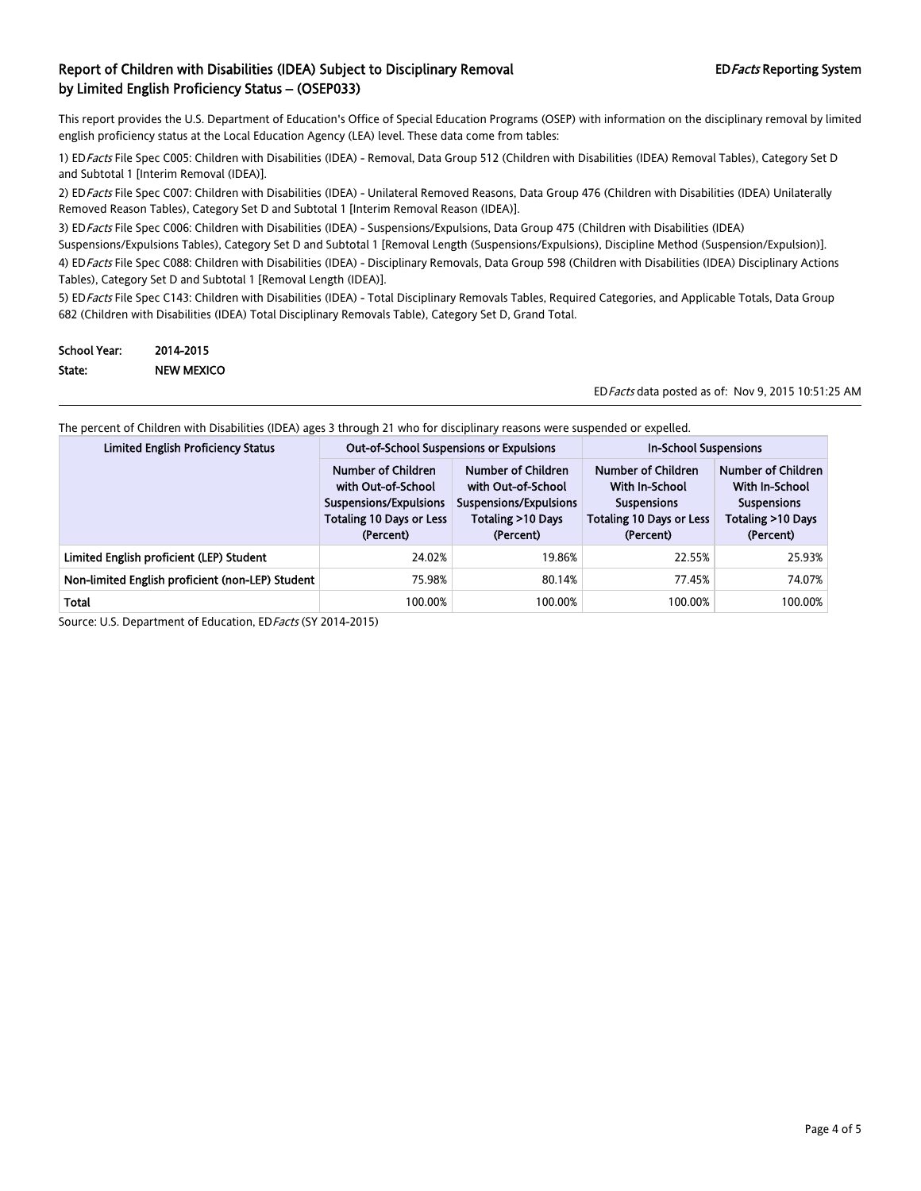This report provides the U.S. Department of Education's Office of Special Education Programs (OSEP) with information on the disciplinary removal by limited english proficiency status at the Local Education Agency (LEA) level. These data come from tables:

1) ED Facts File Spec C005: Children with Disabilities (IDEA) - Removal, Data Group 512 (Children with Disabilities (IDEA) Removal Tables), Category Set D and Subtotal 1 [Interim Removal (IDEA)].

2) ED Facts File Spec C007: Children with Disabilities (IDEA) - Unilateral Removed Reasons, Data Group 476 (Children with Disabilities (IDEA) Unilaterally Removed Reason Tables), Category Set D and Subtotal 1 [Interim Removal Reason (IDEA)].

3) ED Facts File Spec C006: Children with Disabilities (IDEA) - Suspensions/Expulsions, Data Group 475 (Children with Disabilities (IDEA) Suspensions/Expulsions Tables), Category Set D and Subtotal 1 [Removal Length (Suspensions/Expulsions), Discipline Method (Suspension/Expulsion)].

4) ED Facts File Spec C088: Children with Disabilities (IDEA) - Disciplinary Removals, Data Group 598 (Children with Disabilities (IDEA) Disciplinary Actions Tables), Category Set D and Subtotal 1 [Removal Length (IDEA)].

5) ED Facts File Spec C143: Children with Disabilities (IDEA) - Total Disciplinary Removals Tables, Required Categories, and Applicable Totals, Data Group 682 (Children with Disabilities (IDEA) Total Disciplinary Removals Table), Category Set D, Grand Total.

| <b>School Year:</b> | 2014-2015         |
|---------------------|-------------------|
| State:              | <b>NEW MEXICO</b> |

EDFacts data posted as of: Nov 9, 2015 10:51:25 AM

| The percent of Children with Disabilities (IDEA) ages 3 through 21 who for disciplinary reasons were suspended or expelled. |  |
|-----------------------------------------------------------------------------------------------------------------------------|--|
|-----------------------------------------------------------------------------------------------------------------------------|--|

| <b>Limited English Proficiency Status</b>        | <b>Out-of-School Suspensions or Expulsions</b>                                                                     |                                                                                                      | <b>In-School Suspensions</b>                                                                               |                                                                                              |
|--------------------------------------------------|--------------------------------------------------------------------------------------------------------------------|------------------------------------------------------------------------------------------------------|------------------------------------------------------------------------------------------------------------|----------------------------------------------------------------------------------------------|
|                                                  | Number of Children<br>with Out-of-School<br>Suspensions/Expulsions<br><b>Totaling 10 Days or Less</b><br>(Percent) | Number of Children<br>with Out-of-School<br>Suspensions/Expulsions<br>Totaling >10 Days<br>(Percent) | Number of Children<br>With In-School<br><b>Suspensions</b><br><b>Totaling 10 Days or Less</b><br>(Percent) | Number of Children<br>With In-School<br><b>Suspensions</b><br>Totaling >10 Days<br>(Percent) |
| Limited English proficient (LEP) Student         | 24.02%                                                                                                             | 19.86%                                                                                               | 22.55%                                                                                                     | 25.93%                                                                                       |
| Non-limited English proficient (non-LEP) Student | 75.98%                                                                                                             | 80.14%                                                                                               | 77.45%                                                                                                     | 74.07%                                                                                       |
| Total                                            | 100.00%                                                                                                            | 100.00%                                                                                              | 100.00%                                                                                                    | 100.00%                                                                                      |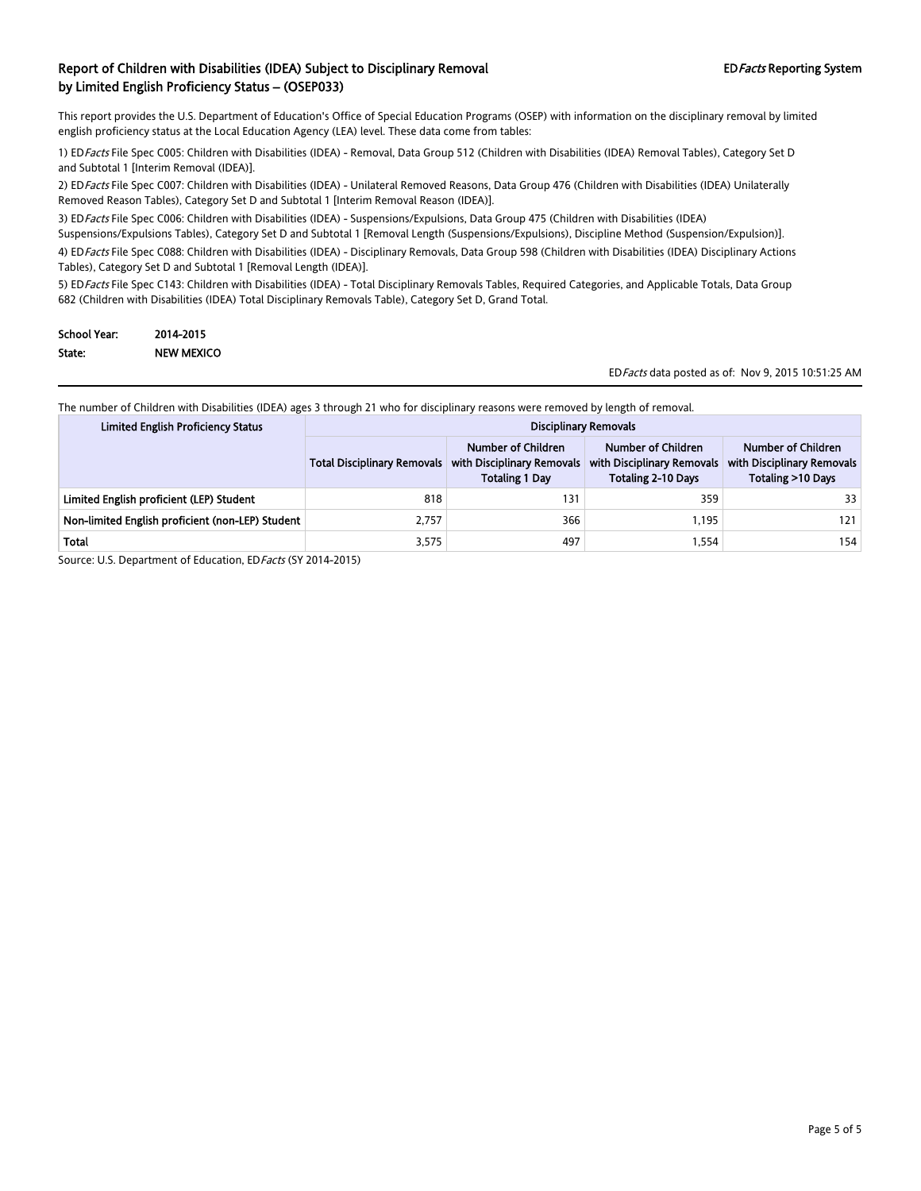This report provides the U.S. Department of Education's Office of Special Education Programs (OSEP) with information on the disciplinary removal by limited english proficiency status at the Local Education Agency (LEA) level. These data come from tables:

1) EDFacts File Spec C005: Children with Disabilities (IDEA) - Removal, Data Group 512 (Children with Disabilities (IDEA) Removal Tables), Category Set D and Subtotal 1 [Interim Removal (IDEA)].

2) EDFacts File Spec C007: Children with Disabilities (IDEA) - Unilateral Removed Reasons, Data Group 476 (Children with Disabilities (IDEA) Unilaterally Removed Reason Tables), Category Set D and Subtotal 1 [Interim Removal Reason (IDEA)].

3) ED Facts File Spec C006: Children with Disabilities (IDEA) - Suspensions/Expulsions, Data Group 475 (Children with Disabilities (IDEA)

Suspensions/Expulsions Tables), Category Set D and Subtotal 1 [Removal Length (Suspensions/Expulsions), Discipline Method (Suspension/Expulsion)].

4) EDFacts File Spec C088: Children with Disabilities (IDEA) - Disciplinary Removals, Data Group 598 (Children with Disabilities (IDEA) Disciplinary Actions Tables), Category Set D and Subtotal 1 [Removal Length (IDEA)].

5) EDFacts File Spec C143: Children with Disabilities (IDEA) - Total Disciplinary Removals Tables, Required Categories, and Applicable Totals, Data Group 682 (Children with Disabilities (IDEA) Total Disciplinary Removals Table), Category Set D, Grand Total.

| <b>School Year:</b> | 2014-2015         |
|---------------------|-------------------|
| State:              | <b>NEW MEXICO</b> |

EDFacts data posted as of: Nov 9, 2015 10:51:25 AM

The number of Children with Disabilities (IDEA) ages 3 through 21 who for disciplinary reasons were removed by length of removal.

| <b>Limited English Proficiency Status</b>        |                                    |                                                                           | <b>Disciplinary Removals</b>                                                  |                                                                       |  |
|--------------------------------------------------|------------------------------------|---------------------------------------------------------------------------|-------------------------------------------------------------------------------|-----------------------------------------------------------------------|--|
|                                                  | <b>Total Disciplinary Removals</b> | Number of Children<br>with Disciplinary Removals<br><b>Totaling 1 Day</b> | Number of Children<br>with Disciplinary Removals<br><b>Totaling 2-10 Days</b> | Number of Children<br>with Disciplinary Removals<br>Totaling >10 Days |  |
| Limited English proficient (LEP) Student         | 818                                | 131                                                                       | 359                                                                           | 33                                                                    |  |
| Non-limited English proficient (non-LEP) Student | 2,757                              | 366                                                                       | 1.195                                                                         | 121                                                                   |  |
| Total                                            | 3,575                              | 497                                                                       | 1,554                                                                         | 154                                                                   |  |